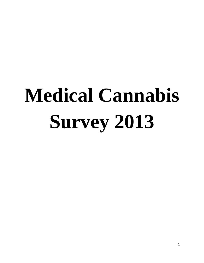# **Medical Cannabis Survey 2013**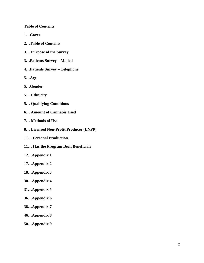**Table of Contents**

**1…Cover**

- **2…Table of Contents**
- **3… Purpose of the Survey**
- **3…Patients Survey – Mailed**
- **4…Patients Survey – Telephone**
- **5…Age**
- **5…Gender**
- **5… Ethnicity**
- **5… Qualifying Conditions**
- **6… Amount of Cannabis Used**
- **7… Methods of Use**
- **8… Licensed Non-Profit Producer (LNPP)**
- **11… Personal Production**
- **11… Has the Program Been Beneficial**?
- **12…Appendix 1**
- **17…Appendix 2**
- **18…Appendix 3**
- **30…Appendix 4**
- **31…Appendix 5**
- **36…Appendix 6**
- **38…Appendix 7**
- **46…Appendix 8**
- **50…Appendix 9**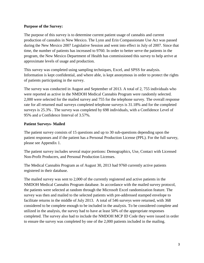# **Purpose of the Survey:**

The purpose of this survey is to determine current patient usage of cannabis and current production of cannabis in New Mexico. The Lynn and Erin Compassionate Use Act was passed during the New Mexico 2007 Legislative Session and went into effect in July of 2007. Since that time, the number of patients has increased to 9760. In order to better serve the patients in the program, the New Mexico Department of Health has commissioned this survey to help arrive at approximate levels of usage and production.

This survey was completed using sampling techniques, Excel, and SPSS for analysis. Information is kept confidential, and where able, is kept anonymous in order to protect the rights of patients participating in the survey.

The survey was conducted in August and September of 2013. A total of 2, 755 individuals who were reported as active in the NMDOH Medical Cannabis Program were randomly selected. 2,000 were selected for the mailed survey and 755 for the telephone survey. The overall response rate for all returned mail surveys completed telephone surveys is 31.18% and for the completed surveys is 25.3% . The survey was completed by 698 individuals, with a Confidence Level of 95% and a Confidence Interval of 3.57%.

# **Patient Surveys- Mailed**

The patient survey consists of 15 questions and up to 30 sub-questions depending upon the patient responses and if the patient has a Personal Production License (PPL). For the full survey, please see Appendix 1.

The patient survey includes several major portions: Demographics, Use, Contact with Licensed Non-Profit Producers, and Personal Production Licenses.

The Medical Cannabis Program as of August 30, 2013 had 9760 currently active patients registered in their database.

The mailed survey was sent to 2,000 of the currently registered and active patients in the NMDOH Medical Cannabis Program database. In accordance with the mailed survey protocol, the patients were selected at random through the Microsoft Excel randomization feature. The survey was then and mailed to the selected patients with pre-addressed stamped envelope to facilitate returns in the middle of July 2013. A total of 546 surveys were returned, with 368 considered to be complete enough to be included in the analysis. To be considered complete and utilized in the analysis, the survey had to have at least 50% of the appropriate responses completed. The survey also had to include the NMDOH MCP ID Code they were issued in order to ensure the survey was completed by one of the 2,000 patients included in the mailing.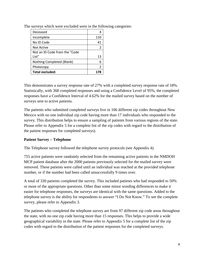| Deceased                      |     |
|-------------------------------|-----|
| Incomplete                    | 110 |
| No ID Code                    | 41  |
| Not Active                    | っ   |
| Not an ID Code from the "Code |     |
| List"                         | 13  |
| Nothing Completed (Blank)     |     |
| Photocopy                     | 2   |
| <b>Total excluded:</b>        | 178 |

The surveys which were excluded were in the following categories:

This demonstrates a survey response rate of 27% with a completed survey response rate of 18%. Statistically, with 368 completed responses and using a Confidence Level of 95%, the completed responses have a Confidence Interval of 4.62% for the mailed survey based on the number of surveys sent to active patients.

The patients who submitted completed surveys live in 106 different zip codes throughout New Mexico with no one individual zip code having more than 17 individuals who responded to the survey. This distribution helps to ensure a sampling of patients from various regions of the state. Please refer to Appendix 5 for a complete list of the zip codes with regard to the distribution of the patient responses for completed surveys).

# **Patient Survey – Telephone**

The Telephone survey followed the telephone survey protocols (see Appendix 4).

755 active patients were randomly selected from the remaining active patients in the NMDOH MCP patient database after the 2000 patients previously selected for the mailed survey were removed. These patients were called until an individual was reached at the provided telephone number, or if the number had been called unsuccessfully 9 times over.

A total of 330 patients completed the survey. This included patients who had responded to 50% or more of the appropriate questions. Other than some minor wording differences to make it easier for telephone responses, the surveys are identical with the same questions. Added to the telephone survey is the ability for respondents to answer "I Do Not Know." To see the complete survey, please refer to Appendix 3.

The patients who completed the telephone survey are from 97 different zip code areas throughout the state, with no one zip code having more than 15 responses. This helps to provide a wide geographical variability in the state. Please refer to Appendix 5 for a complete list of the zip codes with regard to the distribution of the patient responses for the completed surveys.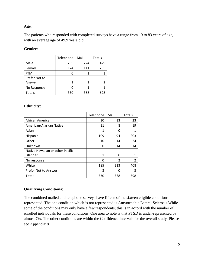# **Age**:

The patients who responded with completed surveys have a range from 19 to 83 years of age, with an average age of 49.9 years old.

# **Gender**:

|               | Telephone | Mail | <b>Totals</b> |
|---------------|-----------|------|---------------|
| Male          | 205       | 224  | 429           |
| Female        | 124       | 141  | 265           |
| <b>FTM</b>    | O         |      |               |
| Prefer Not to |           |      |               |
| Answer        | 1         | 1    |               |
| No Response   | O         | 1    |               |
| Totals        | 330       | 368  | 698           |

# **Ethnicity:**

|                                  | Telephone | Mail           | Totals |
|----------------------------------|-----------|----------------|--------|
| African American                 | 10        | 13             | 23     |
| American/Alaskan Native          | 11        | 8              | 19     |
| Asian                            | 1         | 0              |        |
| Hispanic                         | 109       | 94             | 203    |
| Other                            | 10        | 14             | 24     |
| Unknown                          | 0         | 14             | 14     |
| Native Hawaiian or other Pacific |           |                |        |
| Islander                         | 1         | O              |        |
| No response                      | 0         | $\overline{2}$ | 2      |
| White                            | 185       | 223            | 408    |
| Prefer Not to Answer             | 3         | 0              | 3      |
| Total:                           | 330       | 368            | 698    |

# **Qualifying Conditions:**

The combined mailed and telephone surveys have fifteen of the sixteen eligible conditions represented. The one condition which is not represented is Amyotrpohic Lateral Sclerosis.While some of the conditions may only have a few respondents; this is in accord with the number of enrolled individuals for these conditions. One area to note is that PTSD is under-represented by almost 7%. The other conditions are within the Confidence Intervals for the overall study. Please see Appendix 8.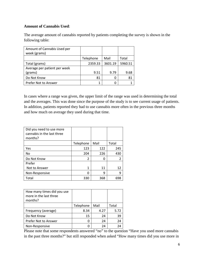# **Amount of Cannabis Used**:

The average amount of cannabis reported by patients completing the survey is shown in the following table:

| Amount of Cannabis Used per<br>week (grams) |           |         |         |
|---------------------------------------------|-----------|---------|---------|
|                                             | Telephone | Mail    | Total   |
| Total (grams)                               | 2359.33   | 3601.19 | 5960.51 |
| Average per patient per week                |           |         |         |
| (grams)                                     | 9.51      | 9.79    | 9.68    |
| Do Not Know                                 | 81        | O       | 81      |
| Prefer Not to Answer                        |           |         |         |

In cases where a range was given, the upper limit of the range was used in determining the total and the averages. This was done since the purpose of the study is to see current usage of patients. In addition, patients reported they had to use cannabis more often in the previous three months and how much on average they used during that time.

| Did you need to use more<br>cannabis in the last three<br>months? |           |      |       |
|-------------------------------------------------------------------|-----------|------|-------|
|                                                                   | Telephone | Mail | Total |
| Yes                                                               | 123       | 122  | 245   |
| No                                                                | 204       | 226  | 430   |
| Do Not Know                                                       | 2         |      | 2     |
| Prefer                                                            |           |      |       |
| Not to Answer                                                     | 1         | 11   | 12    |
| Non-Responsive                                                    | $\Omega$  | 9    | ٩     |
| Total                                                             | 330       | 368  | 698   |

| How many times did you use<br>more in the last three<br>months? |           |      |       |
|-----------------------------------------------------------------|-----------|------|-------|
|                                                                 | Telephone | Mail | Total |
| Frequency (average)                                             | 8.34      | 4.27 | 5.72  |
| Do Not Know                                                     | 15        | 24   | 39    |
| Prefer Not to Answer                                            |           | 24   | 24    |
| Non-Responsive                                                  |           | 24   | 2Δ    |

Please note that some respondents answered "no" to the question "Have you used more cannabis in the past three months?" but still responded when asked "How many times did you use more in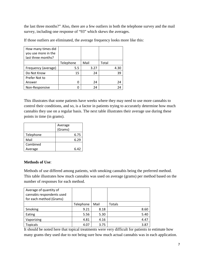the last three months?" Also, there are a few outliers in both the telephone survey and the mail survey, including one response of "93" which skews the averages.

| How many times did  |           |      |       |
|---------------------|-----------|------|-------|
| you use more in the |           |      |       |
| last three months?  |           |      |       |
|                     | Telephone | Mail | Total |
| Frequency (average) | 5.5       | 3.27 | 4.30  |
| Do Not Know         | 15        | 24   | 39    |
| Prefer Not to       |           |      |       |
| Answer              |           | 24   | 24    |
| Non-Responsive      |           | 24   | 24    |

If those outliers are eliminated, the average frequency looks more like this:

This illustrates that some patients have weeks where they may need to use more cannabis to control their conditions, and so, is a factor in patients trying to accurately determine how much cannabis they use on a regular basis. The next table illustrates their average use during these points in time (in grams).

|           | Average<br>(Grams) |      |
|-----------|--------------------|------|
| Telephone |                    | 6.75 |
| Mail      |                    | 6.29 |
| Combined  |                    |      |
| Average   |                    | 6.42 |

# **Methods of Use**:

Methods of use differed among patients, with smoking cannabis being the preferred method. This table illustrates how much cannabis was used on average (grams) per method based on the number of responses for each method.

| Average of quantity of    |           |      |               |
|---------------------------|-----------|------|---------------|
| cannabis respondents used |           |      |               |
| for each method (Grams)   |           |      |               |
|                           | Telephone | Mail | <b>Totals</b> |
| Smoking                   | 9.21      | 8.18 | 8.60          |
| Eating                    | 5.56      | 5.30 | 5.40          |
| Vaporizing                | 4.81      | 4.16 | 4.47          |
| <b>Topicals</b>           | 4.07      | 3.75 | 3.87          |

It should be noted here that topical treatments were very difficult for patients to estimate how many grams they used due to not being sure how much actual cannabis was in each application.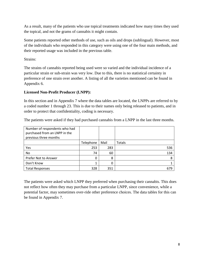As a result, many of the patients who use topical treatments indicated how many times they used the topical, and not the grams of cannabis it might contain.

Some patients reported other methods of use, such as oils and drops (sublingual). However, most of the individuals who responded in this category were using one of the four main methods, and their reported usage was included in the previous table.

Strains:

The strains of cannabis reported being used were so varied and the individual incidence of a particular strain or sub-strain was very low. Due to this, there is no statistical certainty in preference of one strain over another. A listing of all the varieties mentioned can be found in Appendix 6.

# **Licensed Non-Profit Producer (LNPP):**

In this section and in Appendix 7 where the data tables are located, the LNPPs are referred to by a coded number 1 through 23. This is due to their names only being released to patients, and in order to protect that confidentiality, coding is necessary.

The patients were asked if they had purchased cannabis from a LNPP in the last three months.

| Number of respondents who had |           |          |        |
|-------------------------------|-----------|----------|--------|
| purchased from an LNPP in the |           |          |        |
| previous three months         |           |          |        |
|                               | Telephone | Mail     | Totals |
| Yes                           | 253       | 283      | 536    |
| No                            | 74        | 60       | 134    |
| Prefer Not to Answer          | 0         | 8        |        |
| Don't Know                    |           | $\Omega$ |        |
| <b>Total Responses</b>        | 328       | 351      | 679    |

The patients were asked which LNPP they preferred when purchasing their cannabis. This does not reflect how often they may purchase from a particular LNPP, since convenience, while a potential factor, may sometimes over-ride other preference choices. The data tables for this can be found in Appendix 7.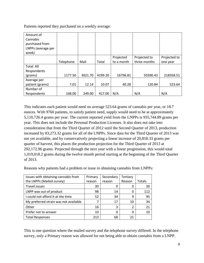Patients reported they purchased on a weekly average:

| Amount of<br>Cannabis<br>purchased from<br>LNPPs (average per<br>week) |           |         |         |            |              |              |
|------------------------------------------------------------------------|-----------|---------|---------|------------|--------------|--------------|
|                                                                        |           |         |         | Projected  | Projected to | Projected to |
|                                                                        | Telephone | Mail    | Total   | to a month | three months | one year     |
| <b>Total All</b>                                                       |           |         |         |            |              |              |
| Respondents                                                            |           |         |         |            |              |              |
| (grams)                                                                | 1177.50   | 3021.70 | 4199.20 | 16796.81   | 50390.43     | 218358.51    |
| Average per                                                            |           |         |         |            |              |              |
| patient (grams)                                                        | 7.01      | 12.14   | 10.07   | 40.28      | 120.84       | 523.64       |
| Number of                                                              |           |         |         |            |              |              |
| Respondents                                                            | 168.00    | 249.00  | 417.00  | N/A        | N/A          | N/A          |

This indicates each patient would need on average 523.64 grams of cannabis per year, or 18.7 ounces. With 9760 patients, to satisfy patient need, supply would need to be at approximately 5,110,726.4 grams per year. The current reported yield from the LNPPs is 935,744.89 grams per year. This does not include the Personal Production Licenses. It also does not take into consideration that from the Third Quarter of 2012 until the Second Quarter of 2013, production increased by 83,273.32 grams for all of the LNPPs. Since data for the Third Quarter of 2013 was not yet available, and by conservatively projecting a linear increase of 20,818.33 grams per quarter of harvest, this places the production projection for the Third Quarter of 2013 at 292,172.96 grams. Projected through the next year with a linear progression, this would total 1,019,018.2 grams during the twelve month period starting at the beginning of the Third Quarter of 2013.

Reasons why patients had a problem or issue in obtaining cannabis from LNPPs:

| Issues with obtaining cannabis from   | Primary | Secondary | Tertiary |        |
|---------------------------------------|---------|-----------|----------|--------|
| the LNPPs (Mailed survey)             | reason  | reason    | Reason   | Totals |
| Travel issues                         | 30      | 0         |          | 30     |
| LNPP was out of product               | 98      | 14        | O        | 112    |
| I could not afford it at the time     | 52      | 34        | q        | 95     |
| My preferred strain was not available |         | 17        | 10       | 34     |
| Other                                 | 16      | 3         | 2        | 21     |
| Prefer not to answer                  | 10      | 0         | ი        | 10     |
| <b>Total Responses</b>                | 213     | 68        | 21       |        |

This is one question where the mailed survey and the telephone survey differed. In the telephone survey, only a Primary reason was allowed for not being able to obtain cannabis from a LNPP.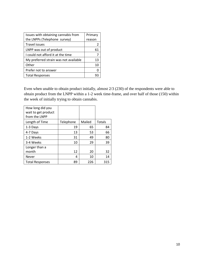| Issues with obtaining cannabis from   | Primary |
|---------------------------------------|---------|
| the LNPPs (Telephone survey)          | reason  |
| Travel issues                         | 2       |
| LNPP was out of product               | 61      |
| I could not afford it at the time     |         |
| My preferred strain was not available | 13      |
| Other                                 | 10      |
| Prefer not to answer                  |         |
| <b>Total Responses</b>                |         |

Even when unable to obtain product initially, almost 2/3 (230) of the respondents were able to obtain product from the LNPP within a 1-2 week time-frame, and over half of those (150) within the week of initially trying to obtain cannabis.

| How long did you                     |           |        |        |
|--------------------------------------|-----------|--------|--------|
| wait to get product<br>from the LNPP |           |        |        |
|                                      |           |        |        |
| Length of Time                       | Telephone | Mailed | Totals |
| 1-3 Days                             | 19        | 65     | 84     |
| 4-7 Days                             | 13        | 53     | 66     |
| 1-2 Weeks                            | 31        | 49     | 80     |
| 3-4 Weeks                            | 10        | 29     | 39     |
| Longer than a                        |           |        |        |
| month                                | 12        | 20     | 32     |
| <b>Never</b>                         | 4         | 10     | 14     |
| <b>Total Responses</b>               | 89        | 226    | 315    |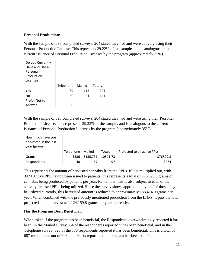# **Personal Production:**

With the sample of 698 completed surveys, 204 stated they had and were actively using their Personal Production License. This represents 29.22% of the sample, and is analogous to the current issuance of Personal Production Licenses by the program (approximately 35%).

| Do you Currently |           |        |               |
|------------------|-----------|--------|---------------|
| Have and Use a   |           |        |               |
| Personal         |           |        |               |
| Production       |           |        |               |
| License?         |           |        |               |
|                  | Telephone | Mailed | <b>Totals</b> |
| Yes              | 89        | 115    | 204           |
| No               | 50        | 91     | 141           |
| Prefer Not to    |           |        |               |
| Answer           | n         | 6      |               |

With the sample of 698 completed surveys, 204 stated they had and were using their Personal Production License. This represents 29.22% of the sample, and is analogous to the current issuance of Personal Production Licenses by the program (approximately 35%).

| How much have you<br>harvested in the last<br>year (grams) |           |          |               |                              |
|------------------------------------------------------------|-----------|----------|---------------|------------------------------|
|                                                            | Telephone | Mailed   | <b>Totals</b> | Projected to all active PPLs |
| Grams                                                      | 5386      | 5135.731 | 10521.73      | 376829.8                     |
| Respondents                                                | 40        | 57       | 97            | 3474                         |

This represents the amount of harvested cannabis from the PPLs. If it is multiplied out, with 3474 Active PPL having been issued to patients, this represents a total of 376,829.8 grams of cannabis being produced by patients per year. Remember, this is also subject to each of the actively licensed PPLs being utilized. Since the survey shows approximately half of those may be utilized currently, this harvested amount is reduced to approximately 188,414.9 grams per year. When combined with the previously mentioned production from the LNPP, it puts the total projected annual harvest at 1,124,159.8 grams per year, currently.

# **Has the Program Been Beneficial**?

When asked if the program has been beneficial, the Respondents overwhelmingly reported it has been. In the Mailed survey 364 of the respondents reported it has been beneficial, and in the Telephone survey, 323 of the 330 respondents reported it has been beneficial. This is a total of 687 respondents out of 698 or a 98.4% report that the program has been beneficial.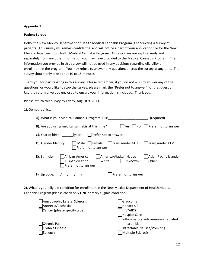#### **Patient Survey**

Hello, the New Mexico Department of Health Medical Cannabis Program is conducting a survey of patients. This survey will remain confidential and will not be a part of your application file for the New Mexico Department of Health Medical Cannabis Program. All responses are kept securely and separately from any other information you may have provided to the Medical Cannabis Program. The information you provide in this survey will not be used in any decisions regarding eligibility or enrollment in the program. You may refuse to answer any question, or stop the survey at any time. The survey should only take about 10 to 15 minutes.

Thank you for participating in this survey. Please remember, if you do not wish to answer any of the questions, or would like to stop the survey, please mark the "Prefer not to answer" for that question. Use the return envelope enclosed to ensure your information is included. Thank you.

Please return this survey by Friday, August 9, 2013.

#### 1). Demographics:

| A). What is your Medical Cannabis Program ID #:                                                                              | (required)                       |
|------------------------------------------------------------------------------------------------------------------------------|----------------------------------|
| B). Are you using medical cannabis at this time?<br>lYes<br>lNo.                                                             | Prefer not to answer             |
| Prefer not to answer<br>C). Year of birth: (year)                                                                            |                                  |
| Transgender MTF<br>Male   Female<br>D). Gender Identity:<br>Prefer not to answer                                             | Transgender FTM                  |
| African-American<br>America/Alaskan Native<br>E). Ethnicity:<br>Unknown<br> White<br>Hispanic/Latino<br>Prefer not to answer | Asian-Pacific Islander<br> Other |
| F). Zip code: $\frac{1}{2}$<br>Prefer not to answer                                                                          |                                  |

2). What is your eligible condition for enrollment in the New Mexico Department of Health Medical Cannabis Program (Please check only **ONE** primary eligible condition):

| Amyotrophic Lateral Sclerosis<br>Anorexia/Cachexia<br>Cancer (please specify type): | Glaucoma<br>Hepatitis C<br>HIV/AIDS<br>Hospice Care<br>Inflammatory autoimmune-mediated |
|-------------------------------------------------------------------------------------|-----------------------------------------------------------------------------------------|
| Chronic Pain                                                                        | arthritis                                                                               |
| Crohn's Disease                                                                     | Intractable Nausea/Vomiting                                                             |
| Epilepsy                                                                            | Multiple Sclerosis                                                                      |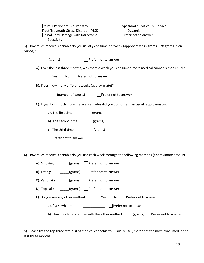| Painful Peripheral Neuropathy<br>Spasmodic Torticollis (Cervical<br>Post-Traumatic Stress Disorder (PTSD)<br>Dystonia)<br>Spinal Cord Damage with Intractable<br>Prefer not to answer<br>Spasticity |
|-----------------------------------------------------------------------------------------------------------------------------------------------------------------------------------------------------|
| 3). How much medical cannabis do you usually consume per week (approximate in grams - 28 grams in an<br>ounce)?                                                                                     |
| Prefer not to answer<br>(grams)                                                                                                                                                                     |
| A). Over the last three months, was there a week you consumed more medical cannabis than usual?                                                                                                     |
| $\overline{\mathsf{No}}$<br>Prefer not to answer<br> Yes                                                                                                                                            |
| B). If yes, how many different weeks (approximate)?                                                                                                                                                 |
| (number of weeks)<br>Prefer not to answer                                                                                                                                                           |
| C). If yes, how much more medical cannabis did you consume than usual (approximate):                                                                                                                |
| a). The first time:<br>(grams)                                                                                                                                                                      |
| b). The second time:<br>$\equiv$ (grams)                                                                                                                                                            |
| c). The third time:<br>(grams)                                                                                                                                                                      |
| Prefer not to answer                                                                                                                                                                                |
|                                                                                                                                                                                                     |
| 4). How much medical cannabis do you use each week through the following methods (approximate amount):                                                                                              |
| Prefer not to answer<br>A). Smoking:<br>(grams)                                                                                                                                                     |
| Prefer not to answer<br>(grams)<br>B). Eating:                                                                                                                                                      |
| Prefer not to answer<br>C). Vaporizing:<br>(grams)                                                                                                                                                  |

D). Topicals: \_\_\_\_\_(grams) D Prefer not to answer

| E). Do you use any other method: |  |  |  |  |  | $\Box$ Yes $\Box$ No $\Box$ Prefer not to answer |
|----------------------------------|--|--|--|--|--|--------------------------------------------------|
|----------------------------------|--|--|--|--|--|--------------------------------------------------|

a).If yes, what method: \_\_\_\_\_\_\_\_\_\_\_\_\_\_ Derefer not to answer

b). How much did you use with this other method:  $\text{_________}$  (grams)  $\Box$ Prefer not to answer

5). Please list the top three strain(s) of medical cannabis you usually use (in order of the most consumed in the last three months)?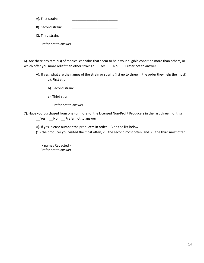| A). First strain:    |  |
|----------------------|--|
| B). Second strain:   |  |
| C). Third strain:    |  |
| Prefer not to answer |  |

6). Are there any strain(s) of medical cannabis that seem to help your eligible condition more than others, or which offer you more relief than other strains?  $\Box$ Yes  $\Box$ No  $\Box$ Prefer not to answer

A). If yes, what are the names of the strain or strains (list up to three in the order they help the most):

b). Second strain:

c). Third strain:

Prefer not to answer

a). First strain:

7). Have you purchased from one (or more) of the Licensed Non-Profit Producers in the last three months?  $\Box$ Yes  $\Box$ No  $\Box$ Prefer not to answer

A). If yes, please number the producers in order 1-3 on the list below

(1 - the producer you visited the most often,  $2 -$  the second most often, and  $3 -$  the third most often):

\_\_\_ <names Redacted> Prefer not to answer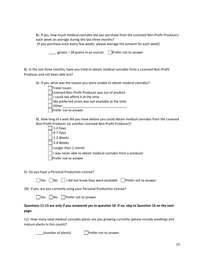B). If yes, how much medical cannabis did you purchase from the Licensed Non-Profit Producers each week on average during the last three months? (If you purchase once every few weeks, please average the amount for each week)

(grams – 28 grams in an ounce) Prefer not to answer

8). In the last three months, have you tried to obtain medical cannabis from a Licensed Non-Profit Producer and not been able too?

A). If yes, what was the reason you were unable to obtain medical cannabis?

| Travel issues                                                     |
|-------------------------------------------------------------------|
| □Licensed Non-Profit Producer was out of product                  |
| $\vert \ \vert$ I could not afford it at the time                 |
| $\vert$ $\vert$ My preferred strain was not available at the time |
| Other:                                                            |
| Prefer not to answer                                              |

B). How long of a wait did you have before you could obtain medical cannabis from the Licensed Non-Profit Producer (or another Licensed Non-Profit Producer)?

 $\exists$  1-3 Days

 $\sqrt{4-7}$  Days

1-2 Weeks

 $\Box$  3-4 Weeks

Longer than 1 month

 $\Box$  I was never able to obtain medical cannabis from a producer

**Prefer not to answer** 

9). Do you have a Personal Production License?

|  |  | □Yes □No □ I did not know they were available □ Prefer not to answer |  |
|--|--|----------------------------------------------------------------------|--|
|--|--|----------------------------------------------------------------------|--|

10). If yes, are you currently using your Personal Production License?

# **Questions 11-13 are only if you answered yes to question 10. If no, skip to Question 14 on the next page.**

11). How many total medical cannabis plants are you growing currently (please include seedlings and mature plants in this count)?

\_\_\_\_(number of plants) Prefer not to answer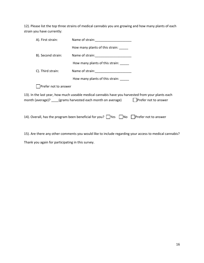12). Please list the top three strains of medical cannabis you are growing and how many plants of each strain you have currently:

| A). First strain:    |                                                                                                                                                                                              |
|----------------------|----------------------------------------------------------------------------------------------------------------------------------------------------------------------------------------------|
|                      | How many plants of this strain:                                                                                                                                                              |
| B). Second strain:   |                                                                                                                                                                                              |
|                      | How many plants of this strain: _____                                                                                                                                                        |
| C). Third strain:    |                                                                                                                                                                                              |
|                      | How many plants of this strain:                                                                                                                                                              |
| Prefer not to answer |                                                                                                                                                                                              |
|                      | 13). In the last year, how much useable medical cannabis have you harvested from your plants each<br>month (average)? _____(grams harvested each month on average)<br>  Prefer not to answer |
|                      | 14). Overall, has the program been beneficial for you?    Yes    No    Prefer not to answer                                                                                                  |
|                      |                                                                                                                                                                                              |

15). Are there any other comments you would like to include regarding your access to medical cannabis? Thank you again for participating in this survey.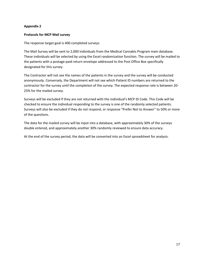#### **Protocols for MCP Mail survey**

The response target goal is 400 completed surveys.

The Mail Survey will be sent to 2,000 individuals from the Medical Cannabis Program main database. These individuals will be selected by using the Excel randomization function. The survey will be mailed to the patients with a postage-paid return envelope addressed to the Post Office Box specifically designated for this survey.

The Contractor will not see the names of the patients in the survey and the survey will be conducted anonymously. Conversely, the Department will not see which Patient ID numbers are returned to the contractor for the survey until the completion of the survey. The expected response rate is between 20- 25% for the mailed survey.

Surveys will be excluded if they are not returned with the individual's MCP ID Code. This Code will be checked to ensure the individual responding to the survey is one of the randomly selected patients. Surveys will also be excluded if they do not respond, or response "Prefer Not to Answer" to 50% or more of the questions.

The data for the mailed survey will be input into a database, with approximately 30% of the surveys double entered, and approximately another 30% randomly reviewed to ensure data accuracy.

At the end of the survey period, the data will be converted into an Excel spreadsheet for analysis.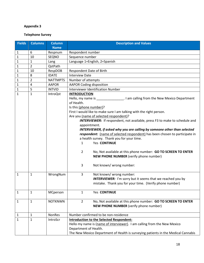# **Telephone Survey**

| <b>Fields</b> | <b>Columns</b> | <b>Column</b>   | <b>Description and Values</b>                                                      |  |  |  |
|---------------|----------------|-----------------|------------------------------------------------------------------------------------|--|--|--|
|               |                | <b>Name</b>     |                                                                                    |  |  |  |
| 1             | 6              | Respnum         | Respondent number                                                                  |  |  |  |
| $\mathbf 1$   | 10             | <b>SEQNO</b>    | Sequence number                                                                    |  |  |  |
| $\mathbf{1}$  | $\mathbf{1}$   | Lang            | Language 1=English, 2=Spanish                                                      |  |  |  |
| $\mathbf{1}$  | $\overline{2}$ | QstPath         |                                                                                    |  |  |  |
| $\mathbf{1}$  | 10             | RespDOB         | Respondent Date of Birth                                                           |  |  |  |
| $\mathbf{1}$  | 8              | <b>IDATE</b>    | <b>Interview Date</b>                                                              |  |  |  |
| $\mathbf{1}$  | $\overline{2}$ | <b>NATTMPTS</b> | Number of attempts                                                                 |  |  |  |
| $\mathbf{1}$  | 4              | <b>AAPOR</b>    | <b>AAPOR Coding disposition</b>                                                    |  |  |  |
| $\mathbf{1}$  | 5              | <b>INTVID</b>   | Interviewer Identification Number                                                  |  |  |  |
| $\mathbf{1}$  | $\mathbf{1}$   | <b>IntroQst</b> | <b>INTRODUCTION</b>                                                                |  |  |  |
|               |                |                 | Hello, my name is ___________________. I am calling from the New Mexico Department |  |  |  |
|               |                |                 | of Health.                                                                         |  |  |  |
|               |                |                 | Is this (phone number)?                                                            |  |  |  |
|               |                |                 | First I would like to make sure I am talking with the right person.                |  |  |  |
|               |                |                 | Are you (name of selected respondent)?                                             |  |  |  |
|               |                |                 | <b>INTERVIEWER:</b> If respondent, not available, press F3 to make to schedule and |  |  |  |
|               |                |                 | appointment.                                                                       |  |  |  |
|               |                |                 | INTERVIEWER, if asked why you are calling by someone other than selected           |  |  |  |
|               |                |                 | respondent: (name of selected respondent) has been chosen to participate in        |  |  |  |
|               |                |                 | a health survey. Thank you for your time.                                          |  |  |  |
|               |                |                 | Yes CONTINUE<br>$\mathbf 1$                                                        |  |  |  |
|               |                |                 |                                                                                    |  |  |  |
|               |                |                 | $\overline{2}$<br>No, Not available at this phone number: GO TO SCREEN TO ENTER    |  |  |  |
|               |                |                 | NEW PHONE NUMBER (verify phone number)                                             |  |  |  |
|               |                |                 |                                                                                    |  |  |  |
|               |                |                 | 3<br>Not known/wrong number:                                                       |  |  |  |
|               |                |                 |                                                                                    |  |  |  |
| 1             | 1              | WrongNum        | 3<br>Not known/wrong number:                                                       |  |  |  |
|               |                |                 | <b>INTERVIEWER:</b> I'm sorry but it seems that we reached you by                  |  |  |  |
|               |                |                 | mistake. Thank you for your time. (Verify phone number)                            |  |  |  |
|               |                |                 |                                                                                    |  |  |  |
| $\mathbf{1}$  | $\mathbf{1}$   | MCperson        | Yes CONTINUE<br>$\mathbf{1}$                                                       |  |  |  |
|               |                |                 |                                                                                    |  |  |  |
| 1             | $\mathbf{1}$   | <b>NOTKNWN</b>  | No, Not available at this phone number: GO TO SCREEN TO ENTER<br>$\overline{2}$    |  |  |  |
|               |                |                 | <b>NEW PHONE NUMBER</b> (verify phone number)                                      |  |  |  |
|               |                |                 |                                                                                    |  |  |  |
| $\mathbf{1}$  | $\mathbf{1}$   | NonRes          | Number confirmed to be non-residence                                               |  |  |  |
| 1             | $\mathbf{1}$   | IntroScr        | <b>Introduction to the Selected Respondent:</b>                                    |  |  |  |
|               |                |                 | Hello my name is (name of interviewer). I am calling from the New Mexico           |  |  |  |
|               |                |                 | Department of Health.                                                              |  |  |  |
|               |                |                 | The New Mexico Department of Health is surveying patients in the Medical Cannabis  |  |  |  |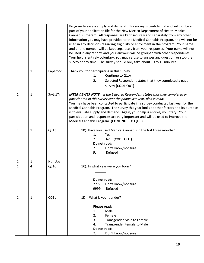|              |                |          | Program to assess supply and demand. This survey is confidential and will not be a<br>part of your application file for the New Mexico Department of Health Medical<br>Cannabis Program. All responses are kept securely and separately from any other<br>information you may have provided to the Medical Cannabis Program, and will not be<br>used in any decisions regarding eligibility or enrollment in the program. Your name<br>and phone number will be kept separately from your responses. Your name will not<br>be used in any reports and your answers will be grouped with other respondents.<br>Your help is entirely voluntary. You may refuse to answer any question, or stop the<br>survey at any time. The survey should only take about 10 to 15 minutes. |
|--------------|----------------|----------|------------------------------------------------------------------------------------------------------------------------------------------------------------------------------------------------------------------------------------------------------------------------------------------------------------------------------------------------------------------------------------------------------------------------------------------------------------------------------------------------------------------------------------------------------------------------------------------------------------------------------------------------------------------------------------------------------------------------------------------------------------------------------|
| $\mathbf{1}$ | $\mathbf{1}$   | PaperSrv | Thank you for participating in this survey.<br>Continue to Q1.A<br>1.<br>2.<br>Selected Respondent states that they completed a paper<br>survey [CODE OUT]                                                                                                                                                                                                                                                                                                                                                                                                                                                                                                                                                                                                                   |
| $\mathbf{1}$ | $\mathbf{1}$   | SrvLstYr | <b>INTERVIEWER NOTE:</b> If the Selected Respondent states that they completed or<br>participated in this survey over the phone last year, please read:<br>You may have been contacted to participate in a survey conducted last year for the<br>Medical Cannabis Program. The survey this year looks at other factors and its purpose<br>is to evaluate supply and demand. Again, your help is entirely voluntary. Your<br>participation and responses are very important and will be used to improve the<br>Medical Cannabis Program. (CONTINUE TO Q1.B)                                                                                                                                                                                                                   |
| $\mathbf{1}$ | $\mathbf{1}$   | Q01b     | 1B). Have you used Medical Cannabis in the last three months?<br>1.<br>Yes<br>(CODE OUT)<br>2.<br>No<br>Do not read:<br>Don't know/not sure<br>7.<br>Refused<br>9.                                                                                                                                                                                                                                                                                                                                                                                                                                                                                                                                                                                                           |
| 1            | 1              | NonUse   |                                                                                                                                                                                                                                                                                                                                                                                                                                                                                                                                                                                                                                                                                                                                                                              |
| $\mathbf{1}$ | $\overline{4}$ | Q01c     | 1C). In what year were you born?<br>Do not read:<br>7777. Don't know/not sure<br>Refused<br>9999.                                                                                                                                                                                                                                                                                                                                                                                                                                                                                                                                                                                                                                                                            |
| 1            | 1              | Q01d     | 1D). What is your gender?<br>Please read:<br>Male<br>1.<br>2.<br>Female<br>3.<br><b>Transgender Male to Female</b><br><b>Transgender Female to Male</b><br>4.<br>Do not read:<br>Don't know/not sure<br>7.                                                                                                                                                                                                                                                                                                                                                                                                                                                                                                                                                                   |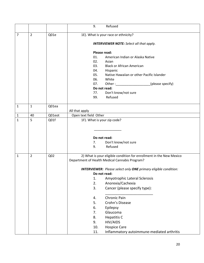|                |                |                 | Refused<br>9.                                                          |
|----------------|----------------|-----------------|------------------------------------------------------------------------|
| $\overline{7}$ | $\overline{2}$ | Q01e            | 1E). What is your race or ethnicity?                                   |
|                |                |                 |                                                                        |
|                |                |                 | <b>INTERVIEWER NOTE:</b> Select all that apply.                        |
|                |                |                 | Please read:                                                           |
|                |                |                 | 01.<br>American Indian or Alaska Native                                |
|                |                |                 | 02.<br>Asian                                                           |
|                |                |                 | 03.<br><b>Black or African American</b>                                |
|                |                |                 | 04.<br>Hispanic                                                        |
|                |                |                 | 05.<br>Native Hawaiian or other Pacific Islander                       |
|                |                |                 | 06.<br>White                                                           |
|                |                |                 | (please specify)<br>07.                                                |
|                |                |                 | Do not read:                                                           |
|                |                |                 | Don't know/not sure<br>77.                                             |
|                |                |                 | Refused<br>99.                                                         |
| $\mathbf{1}$   | $\mathbf{1}$   | Q01ea           |                                                                        |
|                |                |                 | All that apply                                                         |
| $\mathbf 1$    | 40             | Q01eot          | Open text field Other                                                  |
| $\mathbf{1}$   | 5              | Q01f            | 1F). What is your zip code?                                            |
|                |                |                 |                                                                        |
|                |                |                 |                                                                        |
|                |                |                 | Do not read:                                                           |
|                |                |                 | Don't know/not sure<br>7.                                              |
|                |                |                 | Refused<br>9.                                                          |
|                |                |                 |                                                                        |
| $\mathbf{1}$   | $\overline{2}$ | Q <sub>02</sub> | 2) What is your eligible condition for enrollment in the New Mexico    |
|                |                |                 | Department of Health Medical Cannabis Program?                         |
|                |                |                 | <b>INTERVIEWER:</b> Please select only ONE primary eligible condition: |
|                |                |                 | Do not read:                                                           |
|                |                |                 | 1.<br>Amyotrophic Lateral Sclerosis                                    |
|                |                |                 | Anorexia/Cachexia<br>2.                                                |
|                |                |                 | 3.<br>Cancer (please specify type):                                    |
|                |                |                 |                                                                        |
|                |                |                 | Chronic Pain<br>4.                                                     |
|                |                |                 | 5.<br>Crohn's Disease                                                  |
|                |                |                 | 6.<br>Epilepsy                                                         |
|                |                |                 | 7.<br>Glaucoma                                                         |
|                |                |                 | 8.<br><b>Hepatitis C</b>                                               |
|                |                |                 | HIV/AIDS<br>9.                                                         |
|                |                |                 | <b>Hospice Care</b><br>10.                                             |
|                |                |                 | 11.<br>Inflammatory autoimmune-mediated arthritis                      |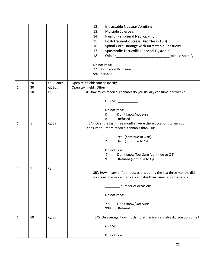|              |              |                  | 12.<br>Intractable Nausea/Vomiting                                 |
|--------------|--------------|------------------|--------------------------------------------------------------------|
|              |              |                  | <b>Multiple Sclerosis</b><br>13.                                   |
|              |              |                  | Painful Peripheral Neuropathy<br>14.                               |
|              |              |                  | Post-Traumatic Stress Disorder (PTSD)<br>15.                       |
|              |              |                  | Spinal Cord Damage with Intractable Spasticity<br>16.              |
|              |              |                  | Spasmodic Torticollis (Cervical Dystonia)<br>17.                   |
|              |              |                  | 18.<br>Other: __________________________________(please specify)   |
|              |              |                  |                                                                    |
|              |              |                  | Do not read:                                                       |
|              |              |                  | 77. Don't know/Not sure                                            |
|              |              |                  | 99. Refused                                                        |
|              |              |                  |                                                                    |
| $\mathbf{1}$ | 20           | Q02Cancr         | Open text field: cancer specify                                    |
| $\mathbf{1}$ | 30           | Q02ot            | Open text field : Other                                            |
| $\mathbf{1}$ | 50           | Q <sub>03</sub>  | 3). How much medical cannabis do you usually consume per week?     |
|              |              |                  | GRAMS: CONSTRUCTION                                                |
|              |              |                  |                                                                    |
|              |              |                  | Do not read:                                                       |
|              |              |                  | Don't know/not sure<br>D.                                          |
|              |              |                  | Refused<br>R.                                                      |
| 1            | $\mathbf{1}$ | Q <sub>03a</sub> | 3A). Over the last three months, were there occasions when you     |
|              |              |                  | consumed more medical cannabis than usual?                         |
|              |              |                  |                                                                    |
|              |              |                  | Yes (continue to Q3B)<br>1.                                        |
|              |              |                  | No (continue to Q4)<br>2.                                          |
|              |              |                  |                                                                    |
|              |              |                  | Do not read:<br>Don't know/Not Sure (continue to Q4)               |
|              |              |                  | 7.<br>Refused (continue to Q4)<br>9.                               |
|              |              |                  |                                                                    |
| 1            | 1            | Q03b             |                                                                    |
|              |              |                  | 3B). How many different occasions during the last three months did |
|              |              |                  | you consume more medical cannabis than usual (approximate)?        |
|              |              |                  |                                                                    |
|              |              |                  | number of occasions                                                |
|              |              |                  |                                                                    |
|              |              |                  | Do not read:                                                       |
|              |              |                  |                                                                    |
|              |              |                  | Don't know/Not Sure<br>777.                                        |
|              |              |                  | Refused<br>999.                                                    |
| 1            | 50           | Q03c             | 3C). On average, how much more medical cannabis did you consume t  |
|              |              |                  |                                                                    |
|              |              |                  | GRAMS: CONSTRUCTION                                                |
|              |              |                  |                                                                    |
|              |              |                  | Do not read:                                                       |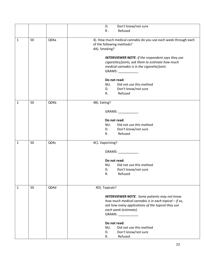|              |    |      | D.<br>Don't know/not sure                                                                                                                                                                                         |
|--------------|----|------|-------------------------------------------------------------------------------------------------------------------------------------------------------------------------------------------------------------------|
|              |    |      | Refused<br>$R$ .                                                                                                                                                                                                  |
| $\mathbf{1}$ | 50 | Q04a | 4). How much medical cannabis do you use each week through each<br>of the following methods?<br>4A). Smoking?                                                                                                     |
|              |    |      | <b>INTERVIEWER NOTE:</b> If the respondent says they use<br>cigarettes/joints, ask them to estimate how much<br>medical cannabis is in the cigarette/joint.<br>GRAMS: _____________                               |
|              |    |      | Do not read:<br>NU.<br>Did not use this method<br>D.<br>Don't know/not sure<br>Refused<br>$R_{\rm{L}}$                                                                                                            |
| 1            | 50 | Q04b | 4B). Eating?                                                                                                                                                                                                      |
|              |    |      | GRAMS: _____________                                                                                                                                                                                              |
|              |    |      | Do not read:                                                                                                                                                                                                      |
|              |    |      | NU.<br>Did not use this method<br>Don't know/not sure<br>D.                                                                                                                                                       |
|              |    |      | Refused<br>$R_{\rm A}$                                                                                                                                                                                            |
| $\mathbf{1}$ | 50 | Q04c | 4C). Vaporizing?                                                                                                                                                                                                  |
|              |    |      | GRAMS: _____________                                                                                                                                                                                              |
|              |    |      | Do not read:                                                                                                                                                                                                      |
|              |    |      | Did not use this method<br>NU.<br>Don't know/not sure<br>D.                                                                                                                                                       |
|              |    |      | Refused<br>R.                                                                                                                                                                                                     |
| $\mathbf{1}$ | 50 | Q04d | 4D). Topicals?                                                                                                                                                                                                    |
|              |    |      | <b>INTERVIEWER NOTE:</b> Some patients may not know<br>how much medical cannabis is in each topical - if so,<br>ask how many applications of the topical they use<br>each week (estimate).<br>GRAMS: ____________ |
|              |    |      | Do not read:<br>Did not use this method<br>NU.<br>Don't know/not sure<br>D.<br>Refused<br>R.                                                                                                                      |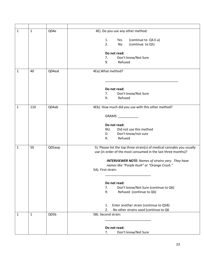| $\mathbf{1}$ | $\mathbf{1}$ | Q04e   | 4E). Do you use any other method:                                       |
|--------------|--------------|--------|-------------------------------------------------------------------------|
|              |              |        |                                                                         |
|              |              |        | (continue to Q4.E.a)<br>1.<br>Yes                                       |
|              |              |        | 2.<br>(continue to Q5)<br>No                                            |
|              |              |        | Do not read:                                                            |
|              |              |        | Don't know/Not Sure<br>7.                                               |
|              |              |        | 9.<br>Refused                                                           |
|              |              |        |                                                                         |
| 1            | 40           | Q04eat | 4Ea). What method?                                                      |
|              |              |        |                                                                         |
|              |              |        |                                                                         |
|              |              |        |                                                                         |
|              |              |        | Do not read:<br>Don't know/Not Sure<br>7.                               |
|              |              |        | Refused<br>9.                                                           |
|              |              |        |                                                                         |
| 1            | 110          | Q04ab  | 4Eb). How much did you use with this other method?                      |
|              |              |        |                                                                         |
|              |              |        | GRAMS: _____________                                                    |
|              |              |        |                                                                         |
|              |              |        | Do not read:                                                            |
|              |              |        | Did not use this method<br>NU.                                          |
|              |              |        | Don't know/not sure<br>D.<br>Refused<br>$R_{\rm *}$                     |
|              |              |        |                                                                         |
| $\mathbf{1}$ | 50           | Q05aop | 5). Please list the top three strain(s) of medical cannabis you usually |
|              |              |        | use (in order of the most consumed in the last three months)?           |
|              |              |        |                                                                         |
|              |              |        | <b>INTERVIEWER NOTE:</b> Names of strains vary. They have               |
|              |              |        | names like "Purple Kush" or "Orange Crush."                             |
|              |              |        | 5A). First strain:                                                      |
|              |              |        |                                                                         |
|              |              |        | Do not read:                                                            |
|              |              |        | Don't know/Not Sure (continue to Q6)<br>7.                              |
|              |              |        | 9.<br>Refused (continue to Q6)                                          |
|              |              |        |                                                                         |
|              |              |        |                                                                         |
|              |              |        | Enter another strain (continue to Q5B)<br>1.                            |
|              |              |        | No other strains used (continue to Q6<br>2.                             |
| 1            | $\mathbf{1}$ | Q05b   | 5B). Second strain:                                                     |
|              |              |        |                                                                         |
|              |              |        |                                                                         |
|              |              |        | Do not read:<br>Don't know/Not Sure<br>7.                               |
|              |              |        |                                                                         |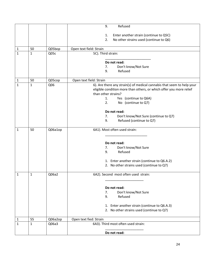|              |              |         | 9.<br>Refused                                                          |
|--------------|--------------|---------|------------------------------------------------------------------------|
|              |              |         | Enter another strain (continue to Q5C)<br>1.                           |
|              |              |         | 2.<br>No other strains used (continue to Q6)                           |
|              |              |         |                                                                        |
| $1\,$        | 50           | Q05bop  | Open text field: Strain                                                |
| $\mathbf{1}$ | $\mathbf{1}$ | Q05c    | 5C). Third strain:                                                     |
|              |              |         |                                                                        |
|              |              |         | Do not read:<br>7.<br>Don't know/Not Sure                              |
|              |              |         | Refused<br>9.                                                          |
|              |              |         |                                                                        |
| $\mathbf{1}$ | 50           | Q05cop  | Open text field: Strain                                                |
| $\mathbf{1}$ | $\mathbf{1}$ | Q06     | 6). Are there any strain(s) of medical cannabis that seem to help your |
|              |              |         | eligible condition more than others, or which offer you more relief    |
|              |              |         | than other strains?                                                    |
|              |              |         | 1.<br>Yes (continue to Q6A)<br>2.<br>No (continue to Q7)               |
|              |              |         |                                                                        |
|              |              |         | Do not read:                                                           |
|              |              |         | 7.<br>Don't know/Not Sure (continue to Q7)                             |
|              |              |         | Refused (continue to Q7)<br>9.                                         |
|              |              |         |                                                                        |
| $\mathbf{1}$ | 50           | Q06a1op | 6A1). Most often used strain:                                          |
|              |              |         |                                                                        |
|              |              |         | Do not read:                                                           |
|              |              |         | Don't know/Not Sure<br>7.                                              |
|              |              |         | 9.<br>Refused                                                          |
|              |              |         |                                                                        |
|              |              |         | 1. Enter another strain (continue to Q6.A.2)                           |
|              |              |         | 2. No other strains used (continue to Q7)                              |
| $\mathbf{1}$ | $\mathbf{1}$ | Q06a2   | 6A2). Second most often used strain:                                   |
|              |              |         |                                                                        |
|              |              |         |                                                                        |
|              |              |         | Do not read:<br>7.                                                     |
|              |              |         | Don't know/Not Sure<br>Refused<br>9.                                   |
|              |              |         |                                                                        |
|              |              |         | 1. Enter another strain (continue to Q6.A.3)                           |
|              |              |         | 2. No other strains used (continue to Q7)                              |
|              |              |         |                                                                        |
| 1            | 55           | Q06a2op | Open text fied: Strain                                                 |
| $\mathbf{1}$ | $\mathbf{1}$ | Q06a3   | 6A3). Third most often used strain:                                    |
|              |              |         | Do not read:                                                           |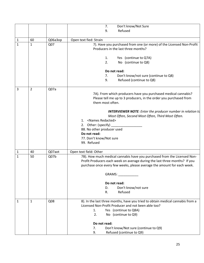|              |              |         | 7.<br>Don't know/Not Sure                                                                                                                                                                                                                                           |
|--------------|--------------|---------|---------------------------------------------------------------------------------------------------------------------------------------------------------------------------------------------------------------------------------------------------------------------|
|              |              |         | Refused<br>9.                                                                                                                                                                                                                                                       |
|              |              |         |                                                                                                                                                                                                                                                                     |
| $\mathbf{1}$ | 60           | Q06a3op | Open text fied: Strain                                                                                                                                                                                                                                              |
| $\mathbf{1}$ | $\mathbf{1}$ | Q07     | 7). Have you purchased from one (or more) of the Licensed Non-Profit<br>Producers in the last three months?                                                                                                                                                         |
|              |              |         | Yes (continue to Q7A)<br>1.<br>2.<br>No (continue to Q8)                                                                                                                                                                                                            |
|              |              |         | Do not read:                                                                                                                                                                                                                                                        |
|              |              |         | Don't know/not sure (continue to Q8)<br>7.                                                                                                                                                                                                                          |
|              |              |         | Refused (continue to Q8)<br>9.                                                                                                                                                                                                                                      |
| 3            | 2            | Q07a    | 7A). From which producers have you purchased medical cannabis?<br>Please tell me up to 3 producers, in the order you purchased from<br>them most often.                                                                                                             |
|              |              |         | <b>INTERVIEWER NOTE:</b> Enter the producer number in relation to<br>Most Often, Second Most Often, Third Most Often.<br>1. < Names Redacted><br>2. Other: (specify)<br>88. No other producer used<br>Do not read:<br>77. Don't know/Not sure<br>99. Refused        |
| 1            | 40           | Q07aot  | Open text field: Other                                                                                                                                                                                                                                              |
| $\mathbf{1}$ | 50           | Q07b    | 7B). How much medical cannabis have you purchased from the Licensed Non-<br>Profit Producers each week on average during the last three months? If you<br>purchase once every few weeks, please average the amount for each week.<br>GRAMS: <b>CONTRACT CONTROL</b> |
|              |              |         |                                                                                                                                                                                                                                                                     |
|              |              |         | Do not read:                                                                                                                                                                                                                                                        |
|              |              |         | Don't know/not sure<br>D.                                                                                                                                                                                                                                           |
|              |              |         | Refused<br>R.                                                                                                                                                                                                                                                       |
| 1            | $\mathbf{1}$ | Q08     | 8). In the last three months, have you tried to obtain medical cannabis from a<br>Licensed Non-Profit Producer and not been able too?<br>Yes (continue to Q8A)<br>1.<br>2.<br>No (continue to Q9)                                                                   |
|              |              |         | Do not read:                                                                                                                                                                                                                                                        |
|              |              |         | Don't know/Not sure (continue to Q9)<br>7.                                                                                                                                                                                                                          |
|              |              |         | 9.<br>Refused (continue to Q9)                                                                                                                                                                                                                                      |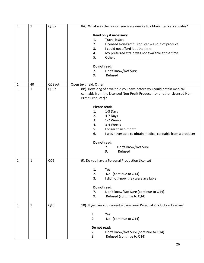| $\mathbf{1}$ | $\mathbf{1}$ | Q08a   |                                                        | 8A). What was the reason you were unable to obtain medical cannabis?                                                                                                                                                           |
|--------------|--------------|--------|--------------------------------------------------------|--------------------------------------------------------------------------------------------------------------------------------------------------------------------------------------------------------------------------------|
|              |              |        | 1.<br>2.<br>3.<br>4.<br>5.<br>Do not read:<br>7.<br>9. | Read only if necessary:<br><b>Travel issues</b><br>Licensed Non-Profit Producer was out of product<br>I could not afford it at the time<br>My preferred strain was not available at the time<br>Don't know/Not Sure<br>Refused |
|              |              |        |                                                        |                                                                                                                                                                                                                                |
| $\mathbf{1}$ | 40           | Q08aot | Open text field: Other                                 |                                                                                                                                                                                                                                |
| $\mathbf{1}$ | $\mathbf{1}$ | Q08b   | Profit Producer)?                                      | 8B). How long of a wait did you have before you could obtain medical<br>cannabis from the Licensed Non-Profit Producer (or another Licensed Non-                                                                               |
|              |              |        | Please read:                                           |                                                                                                                                                                                                                                |
|              |              |        | 1.<br>2.                                               | 1-3 Days<br>4-7 Days                                                                                                                                                                                                           |
|              |              |        | 3.                                                     | 1-2 Weeks                                                                                                                                                                                                                      |
|              |              |        | 4.                                                     | 3-4 Weeks                                                                                                                                                                                                                      |
|              |              |        | 5.                                                     | Longer than 1 month                                                                                                                                                                                                            |
|              |              |        | 6.                                                     | I was never able to obtain medical cannabis from a producer                                                                                                                                                                    |
|              |              |        | Do not read:                                           |                                                                                                                                                                                                                                |
|              |              |        |                                                        | Don't know/Not Sure<br>7.                                                                                                                                                                                                      |
|              |              |        |                                                        | 9.<br>Refused                                                                                                                                                                                                                  |
| $\mathbf{1}$ | $\mathbf{1}$ | Q09    |                                                        | 9). Do you have a Personal Production License?                                                                                                                                                                                 |
|              |              |        | 1.                                                     | Yes                                                                                                                                                                                                                            |
|              |              |        | 2.                                                     | No (continue to Q14)                                                                                                                                                                                                           |
|              |              |        | 3.                                                     | I did not know they were available                                                                                                                                                                                             |
|              |              |        | Do not read:                                           |                                                                                                                                                                                                                                |
|              |              |        | 7.                                                     | Don't know/Not Sure (continue to Q14)                                                                                                                                                                                          |
|              |              |        | 9.                                                     | Refused (continue to Q14)                                                                                                                                                                                                      |
| 1            | 1            | Q10    |                                                        | 10). If yes, are you currently using your Personal Production License?                                                                                                                                                         |
|              |              |        | 1.                                                     | Yes                                                                                                                                                                                                                            |
|              |              |        | 2.                                                     | No (continue to Q14)                                                                                                                                                                                                           |
|              |              |        | Do not read:                                           |                                                                                                                                                                                                                                |
|              |              |        | 7.                                                     | Don't know/Not Sure (continue to Q14)                                                                                                                                                                                          |
|              |              |        | 9.                                                     | Refused (continue to Q14)                                                                                                                                                                                                      |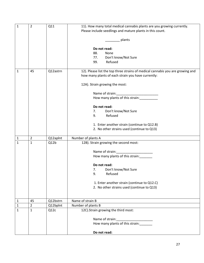| $\mathbf{1}$ | $\overline{2}$ | Q11      | 11). How many total medical cannabis plants are you growing currently.<br>Please include seedlings and mature plants in this count. |  |  |
|--------------|----------------|----------|-------------------------------------------------------------------------------------------------------------------------------------|--|--|
|              |                |          |                                                                                                                                     |  |  |
|              |                |          | plants                                                                                                                              |  |  |
|              |                |          | Do not read:                                                                                                                        |  |  |
|              |                |          | 88.<br>None                                                                                                                         |  |  |
|              |                |          | 77.<br>Don't know/Not Sure                                                                                                          |  |  |
|              |                |          | Refused<br>99.                                                                                                                      |  |  |
| 1            | 45             | Q12astrn | 12). Please list the top three strains of medical cannabis you are growing and                                                      |  |  |
|              |                |          | how many plants of each strain you have currently:                                                                                  |  |  |
|              |                |          | 12A). Strain growing the most:                                                                                                      |  |  |
|              |                |          | Name of strain:                                                                                                                     |  |  |
|              |                |          | How many plants of this strain:                                                                                                     |  |  |
|              |                |          | Do not read:                                                                                                                        |  |  |
|              |                |          | Don't know/Not Sure<br>7.                                                                                                           |  |  |
|              |                |          | Refused<br>9.                                                                                                                       |  |  |
|              |                |          | 1. Enter another strain (continue to Q12.B)                                                                                         |  |  |
|              |                |          | 2. No other strains used (continue to Q13)                                                                                          |  |  |
| 1            | 2              | Q12apInt | Number of plants A                                                                                                                  |  |  |
| 1            | $\mathbf 1$    | Q12b     | 12B). Strain growing the second most:                                                                                               |  |  |
|              |                |          | Name of strain:                                                                                                                     |  |  |
|              |                |          | How many plants of this strain:                                                                                                     |  |  |
|              |                |          | Do not read:                                                                                                                        |  |  |
|              |                |          | Don't know/Not Sure<br>7.                                                                                                           |  |  |
|              |                |          | 9.<br>Refused                                                                                                                       |  |  |
|              |                |          | 1. Enter another strain (continue to Q12.C)                                                                                         |  |  |
|              |                |          | 2. No other strains used (continue to Q13)                                                                                          |  |  |
|              |                |          |                                                                                                                                     |  |  |
| $\mathbf{1}$ | 45             | Q12bstrn | Name of strain B                                                                                                                    |  |  |
| $\mathbf{1}$ | $\overline{2}$ | Q12bplnt | Number of plants B                                                                                                                  |  |  |
| 1            | $\mathbf{1}$   | Q12c     | 12C). Strain growing the third most:                                                                                                |  |  |
|              |                |          | Name of strain:                                                                                                                     |  |  |
|              |                |          | How many plants of this strain:                                                                                                     |  |  |
|              |                |          | Do not read:                                                                                                                        |  |  |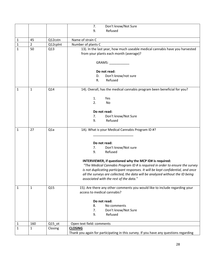|              |                |                  | 7.<br>Don't know/Not Sure                                                                                             |
|--------------|----------------|------------------|-----------------------------------------------------------------------------------------------------------------------|
|              |                |                  | Refused<br>9.                                                                                                         |
|              |                |                  |                                                                                                                       |
| $\mathbf{1}$ | 45             | Q12cstn          | Name of strain C                                                                                                      |
| $\mathbf{1}$ | $\overline{2}$ | Q12cplnt         | Number of plants C                                                                                                    |
| $\mathbf{1}$ | 50             | Q13              | 13). In the last year, how much useable medical cannabis have you harvested<br>from your plants each month (average)? |
|              |                |                  | GRAMS: CONSTRUCTION                                                                                                   |
|              |                |                  | Do not read:                                                                                                          |
|              |                |                  | Don't know/not sure<br>D.                                                                                             |
|              |                |                  | Refused<br>R.                                                                                                         |
| $\mathbf{1}$ | $\mathbf{1}$   | Q14              | 14). Overall, has the medical cannabis program been beneficial for you?                                               |
|              |                |                  | 1.<br>Yes                                                                                                             |
|              |                |                  | 2.<br>No                                                                                                              |
|              |                |                  |                                                                                                                       |
|              |                |                  | Do not read:                                                                                                          |
|              |                |                  | Don't know/Not Sure<br>7.<br>Refused                                                                                  |
|              |                |                  | 9.                                                                                                                    |
| $\mathbf{1}$ | 27             | Q <sub>1</sub> a | 1A). What is your Medical Cannabis Program ID #?                                                                      |
|              |                |                  |                                                                                                                       |
|              |                |                  | Do not read:                                                                                                          |
|              |                |                  | Don't know/Not sure<br>7.                                                                                             |
|              |                |                  | Refused<br>9.                                                                                                         |
|              |                |                  | INTERVIEWER, if questioned why the MCP ID# is required:                                                               |
|              |                |                  | "The Medical Cannabis Program ID # is required in order to ensure the survey                                          |
|              |                |                  | is not duplicating participant responses. It will be kept confidential, and once                                      |
|              |                |                  | all the surveys are collected, the data will be analyzed without the ID being                                         |
|              |                |                  | associated with the rest of the data."                                                                                |
| 1            | $\mathbf{1}$   | Q15              | 15). Are there any other comments you would like to include regarding your                                            |
|              |                |                  | access to medical cannabis?                                                                                           |
|              |                |                  |                                                                                                                       |
|              |                |                  | Do not read:                                                                                                          |
|              |                |                  | 8.<br>No comments<br>Don't know/Not Sure<br>7.                                                                        |
|              |                |                  | Refused<br>9.                                                                                                         |
|              |                |                  |                                                                                                                       |
| $\mathbf{1}$ | 160            | $Q15$ _ot        | Open text field: comments                                                                                             |
| $\mathbf{1}$ | $\mathbf{1}$   | Closing          | <b>CLOSING</b>                                                                                                        |
|              |                |                  | Thank you again for participating in this survey. If you have any questions regarding                                 |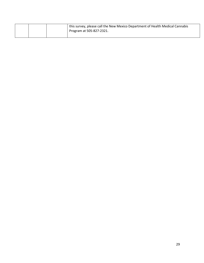|  | <sup>1</sup> this survey, please call the New Mexico Department of Health Medical Cannabis |
|--|--------------------------------------------------------------------------------------------|
|  | Program at 505-827-2321.                                                                   |
|  |                                                                                            |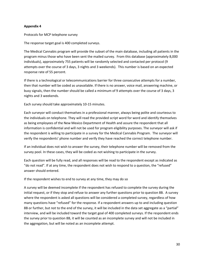Protocols for MCP telephone survey

The response target goal is 400 completed surveys.

The Medical Cannabis program will provide the subset of the main database, including all patients in the program minus those who have been sent the mailed survey. From this database (approximately 8,000 individuals), approximately 755 patients will be randomly selected and contacted per protocol (9 attempts over the course of 3 days, 3 nights and 3 weekends). This number is based on an expected response rate of 55 percent.

If there is a technological or telecommunications barrier for three consecutive attempts for a number, then that number will be coded as unavailable. If there is no answer, voice mail, answering machine, or busy signals, then the number should be called a minimum of 9 attempts over the course of 3 days, 3 nights and 3 weekends.

Each survey should take approximately 10-15 minutes.

Each surveyor will conduct themselves in a professional manner, always being polite and courteous to the individuals on telephone. They will read the provided script word for word and identify themselves as being employees of the New Mexico Department of Health and assure the respondent that all information is confidential and will not be used for program eligibility purposes. The surveyor will ask if the respondent is willing to participate in a survey for the Medical Cannabis Program. The surveyor will verify the respondents' phone number and verify they have reached the correct telephone number.

If an individual does not wish to answer the survey, their telephone number will be removed from the survey pool. In these cases, they will be coded as not wishing to participate in the survey.

Each question will be fully read, and all responses will be read to the respondent except as indicated as "do not read". If at any time, the respondent does not wish to respond to a question, the "refused" answer should entered.

If the respondent wishes to end to survey at any time, they may do so

A survey will be deemed incomplete if the respondent has refused to complete the survey during the initial request, or if they stop and refuse to answer any further questions prior to question 8B. A survey where the respondent is asked all questions will be considered a completed survey, regardless of how many questions have "refused" for the response. If a respondent answers up to and including question 8B or further, but not to the end of the survey, it will be included in the data set aggregate as a "partial" interview, and will be included toward the target goal of 400 completed surveys. If the respondent ends the survey prior to question 8B, it will be counted as an incomplete survey and will not be included in the aggregation, but will be noted as an incomplete attempt.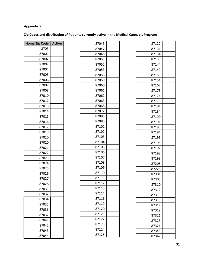# **Zip Codes and distribution of Patients currently active in the Medical Cannabis Program**

┑

| <b>Home Zip Code</b> | <b>Active</b> |
|----------------------|---------------|
| 8703                 |               |
| 87001                |               |
| 87002                |               |
| 87002                |               |
| 87004                |               |
| 87005                |               |
| 87006                |               |
| 87007                |               |
| 87008                |               |
| 87010                |               |
| 87012                |               |
| 87013                |               |
| 87014                |               |
| 87015                |               |
| 87016                |               |
| 87017                |               |
| 87019                |               |
| 87020                |               |
| 87020                |               |
| 87021                |               |
| 87022                |               |
| 87023                |               |
| 87024                |               |
| 87025                |               |
| 87026                |               |
| 87027                |               |
| 87028                |               |
| 87031                |               |
| 87032                |               |
| 87034                |               |
| 87035                |               |
| 87036                |               |
| 87037                |               |
| 87041                |               |
| 87042                |               |
| 87043                |               |
| 87044                |               |

| 87045 |  |
|-------|--|
| 87047 |  |
| 87048 |  |
| 87051 |  |
| 87052 |  |
| 87053 |  |
| 87056 |  |
| 87059 |  |
| 87060 |  |
| 87061 |  |
| 87062 |  |
| 87063 |  |
| 87068 |  |
| 87072 |  |
| 87083 |  |
| 87085 |  |
| 87101 |  |
| 87102 |  |
| 87103 |  |
| 87104 |  |
| 87105 |  |
| 87106 |  |
| 87107 |  |
| 87108 |  |
| 87109 |  |
| 87110 |  |
| 87111 |  |
| 87112 |  |
| 87113 |  |
| 87114 |  |
| 87116 |  |
| 87119 |  |
| 87120 |  |
| 87121 |  |
| 87122 |  |
| 87123 |  |
| 87124 |  |
| 87125 |  |
|       |  |

| 87127 |  |
|-------|--|
| 87131 |  |
| 87134 |  |
| 87135 |  |
| 87144 |  |
| 87149 |  |
| 87153 |  |
| 87154 |  |
| 87162 |  |
| 87173 |  |
| 87174 |  |
| 87176 |  |
| 87181 |  |
| 87184 |  |
| 87190 |  |
| 87191 |  |
| 87193 |  |
| 87194 |  |
| 87195 |  |
| 87196 |  |
| 87197 |  |
| 87198 |  |
| 87199 |  |
| 87205 |  |
| 87228 |  |
| 87301 |  |
| 87305 |  |
| 87310 |  |
| 87312 |  |
| 87313 |  |
| 87315 |  |
| 87317 |  |
| 87319 |  |
| 87321 |  |
| 87323 |  |
| 87326 |  |
| 87345 |  |
| 87347 |  |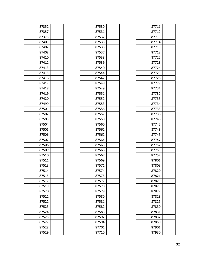| 87352 |  |
|-------|--|
| 87357 |  |
| 87375 |  |
| 87401 |  |
| 87402 |  |
| 87408 |  |
| 87410 |  |
| 87412 |  |
| 87413 |  |
| 87415 |  |
| 87416 |  |
| 87417 |  |
| 87418 |  |
| 87419 |  |
| 87420 |  |
| 87499 |  |
| 87501 |  |
| 87502 |  |
| 87503 |  |
| 87504 |  |
| 87505 |  |
| 87506 |  |
| 87507 |  |
| 87508 |  |
| 87509 |  |
| 87510 |  |
| 87511 |  |
| 87513 |  |
| 87514 |  |
| 87515 |  |
| 87517 |  |
| 87519 |  |
| 87520 |  |
| 87521 |  |
| 87522 |  |
| 87523 |  |
| 87524 |  |
| 87525 |  |
| 87527 |  |
| 87528 |  |
| 87529 |  |

| 87530 |  |
|-------|--|
| 87531 |  |
| 87532 |  |
| 87533 |  |
| 87535 |  |
| 87537 |  |
| 87538 |  |
| 87539 |  |
| 87540 |  |
| 87544 |  |
| 87547 |  |
| 87548 |  |
| 87549 |  |
| 87551 |  |
| 87552 |  |
| 87553 |  |
| 87556 |  |
| 87557 |  |
| 87558 |  |
| 87560 |  |
| 87561 |  |
| 87562 |  |
| 87564 |  |
| 87565 |  |
| 87566 |  |
| 87567 |  |
| 87569 |  |
| 87571 |  |
| 87574 |  |
| 87575 |  |
| 87577 |  |
| 87578 |  |
| 87579 |  |
| 87580 |  |
| 87581 |  |
| 87582 |  |
| 87583 |  |
| 87592 |  |
| 87594 |  |
| 87701 |  |
| 87710 |  |
|       |  |

| 87711 |  |
|-------|--|
| 87712 |  |
| 87713 |  |
| 87714 |  |
| 87715 |  |
| 87718 |  |
| 87722 |  |
| 87723 |  |
| 87724 |  |
| 87725 |  |
| 87728 |  |
| 87729 |  |
| 87731 |  |
| 87732 |  |
| 87733 |  |
| 87734 |  |
| 87735 |  |
| 87736 |  |
| 87740 |  |
| 87742 |  |
| 87743 |  |
| 87745 |  |
| 87747 |  |
| 87752 |  |
| 87753 |  |
| 87757 |  |
| 87801 |  |
| 87803 |  |
| 87820 |  |
| 87821 |  |
| 87823 |  |
| 87825 |  |
| 87827 |  |
| 87828 |  |
| 87829 |  |
| 87830 |  |
| 87831 |  |
| 87832 |  |
| 87850 |  |
| 87901 |  |
| 87930 |  |
|       |  |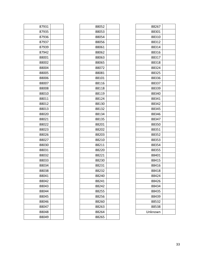| 87931 |  |
|-------|--|
| 87935 |  |
| 87936 |  |
| 87937 |  |
| 87939 |  |
| 87942 |  |
| 88001 |  |
| 88002 |  |
| 88004 |  |
| 88005 |  |
| 88006 |  |
| 88007 |  |
| 88008 |  |
| 88010 |  |
| 88011 |  |
| 88012 |  |
| 88013 |  |
| 88020 |  |
| 88021 |  |
| 88022 |  |
| 88023 |  |
| 88026 |  |
| 88027 |  |
| 88030 |  |
| 88031 |  |
| 88032 |  |
| 88033 |  |
| 88034 |  |
| 88038 |  |
| 88041 |  |
| 88042 |  |
| 88043 |  |
| 88044 |  |
| 88045 |  |
| 88046 |  |
| 88047 |  |
| 88048 |  |
| 88049 |  |

| 88052 |  |
|-------|--|
| 88053 |  |
| 88054 |  |
| 88056 |  |
| 88061 |  |
| 88062 |  |
| 88063 |  |
| 88065 |  |
| 88072 |  |
| 88081 |  |
| 88101 |  |
| 88116 |  |
| 88118 |  |
| 88119 |  |
| 88124 |  |
| 88130 |  |
| 88132 |  |
| 88134 |  |
| 88135 |  |
| 88201 |  |
| 88202 |  |
| 88203 |  |
| 88210 |  |
| 88211 |  |
| 88220 |  |
| 88221 |  |
| 88230 |  |
| 88231 |  |
| 88232 |  |
| 88240 |  |
| 88241 |  |
| 88242 |  |
| 88255 |  |
| 88256 |  |
| 88260 |  |
| 88263 |  |
| 88264 |  |
| 88265 |  |
|       |  |

| 88267   |  |
|---------|--|
| 88301   |  |
| 88310   |  |
| 88312   |  |
| 88314   |  |
| 88316   |  |
| 88317   |  |
| 88318   |  |
| 88324   |  |
| 88325   |  |
| 88336   |  |
| 88337   |  |
| 88339   |  |
| 88340   |  |
| 88341   |  |
| 88342   |  |
| 88345   |  |
| 88346   |  |
| 88347   |  |
| 88350   |  |
| 88351   |  |
| 88352   |  |
| 88353   |  |
| 88354   |  |
| 88355   |  |
| 88401   |  |
| 88415   |  |
| 88416   |  |
| 88418   |  |
| 88424   |  |
| 88426   |  |
| 88434   |  |
| 88435   |  |
| 88439   |  |
| 88532   |  |
| 88538   |  |
| Unknown |  |
|         |  |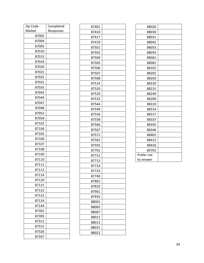| Zip Code - | Completed |
|------------|-----------|
| Mailed     | Responses |
| 87002      |           |
| 87004      |           |
| 87005      |           |
| 87010      |           |
| 87015      |           |
| 87016      |           |
| 87020      |           |
| 87021      |           |
| 87025      |           |
| 87031      |           |
| 87035      |           |
| 87043      |           |
| 87044      |           |
| 87047      |           |
| 87048      |           |
| 87053      |           |
| 87059      |           |
| 87102      |           |
| 87104      |           |
| 87105      |           |
| 87106      |           |
| 87107      |           |
| 87108      |           |
| 87109      |           |
| 87110      |           |
| 87111      |           |
| 87112      |           |
| 87114      |           |
| 87120      |           |
| 87121      |           |
| 87122      |           |
| 87123      |           |
| 87124      |           |
| 87144      |           |
| 87301      |           |
| 87305      |           |
| 87312      |           |
| 87315      |           |
| 87326      |           |
| 87347      |           |
|            |           |

| 87401<br>87410<br>87417<br>87419<br>87501<br>87502<br>87504<br>87505<br>87506<br>87507<br>87508<br>87514<br>87520<br>87529<br>87532<br>87544<br>87549<br>87556<br>87558<br>87566<br>87567<br>87571<br>87582<br>87592<br>87701<br>87712<br>87713<br>87714<br>87723<br>87740<br>87801<br>87825<br>87901<br>87935<br>88001<br>88005<br>88007<br>88011<br>88012<br>88021 |  |
|----------------------------------------------------------------------------------------------------------------------------------------------------------------------------------------------------------------------------------------------------------------------------------------------------------------------------------------------------------------------|--|
|                                                                                                                                                                                                                                                                                                                                                                      |  |
|                                                                                                                                                                                                                                                                                                                                                                      |  |
|                                                                                                                                                                                                                                                                                                                                                                      |  |
|                                                                                                                                                                                                                                                                                                                                                                      |  |
|                                                                                                                                                                                                                                                                                                                                                                      |  |
|                                                                                                                                                                                                                                                                                                                                                                      |  |
|                                                                                                                                                                                                                                                                                                                                                                      |  |
|                                                                                                                                                                                                                                                                                                                                                                      |  |
|                                                                                                                                                                                                                                                                                                                                                                      |  |
|                                                                                                                                                                                                                                                                                                                                                                      |  |
|                                                                                                                                                                                                                                                                                                                                                                      |  |
|                                                                                                                                                                                                                                                                                                                                                                      |  |
|                                                                                                                                                                                                                                                                                                                                                                      |  |
|                                                                                                                                                                                                                                                                                                                                                                      |  |
|                                                                                                                                                                                                                                                                                                                                                                      |  |
|                                                                                                                                                                                                                                                                                                                                                                      |  |
|                                                                                                                                                                                                                                                                                                                                                                      |  |
|                                                                                                                                                                                                                                                                                                                                                                      |  |
|                                                                                                                                                                                                                                                                                                                                                                      |  |
|                                                                                                                                                                                                                                                                                                                                                                      |  |
|                                                                                                                                                                                                                                                                                                                                                                      |  |
|                                                                                                                                                                                                                                                                                                                                                                      |  |
|                                                                                                                                                                                                                                                                                                                                                                      |  |
|                                                                                                                                                                                                                                                                                                                                                                      |  |
|                                                                                                                                                                                                                                                                                                                                                                      |  |
|                                                                                                                                                                                                                                                                                                                                                                      |  |
|                                                                                                                                                                                                                                                                                                                                                                      |  |
|                                                                                                                                                                                                                                                                                                                                                                      |  |
|                                                                                                                                                                                                                                                                                                                                                                      |  |
|                                                                                                                                                                                                                                                                                                                                                                      |  |
|                                                                                                                                                                                                                                                                                                                                                                      |  |
|                                                                                                                                                                                                                                                                                                                                                                      |  |
|                                                                                                                                                                                                                                                                                                                                                                      |  |
|                                                                                                                                                                                                                                                                                                                                                                      |  |
|                                                                                                                                                                                                                                                                                                                                                                      |  |
|                                                                                                                                                                                                                                                                                                                                                                      |  |
|                                                                                                                                                                                                                                                                                                                                                                      |  |
|                                                                                                                                                                                                                                                                                                                                                                      |  |
|                                                                                                                                                                                                                                                                                                                                                                      |  |
|                                                                                                                                                                                                                                                                                                                                                                      |  |
| 88022                                                                                                                                                                                                                                                                                                                                                                |  |

| 88026      |  |
|------------|--|
| 88030      |  |
| 88031      |  |
| 88042      |  |
| 88053      |  |
| 88054      |  |
| 88061      |  |
| 88081      |  |
| 88101      |  |
| 88201      |  |
| 88203      |  |
| 88220      |  |
| 88231      |  |
| 88240      |  |
| 88260      |  |
| 88310      |  |
| 88314      |  |
| 88317      |  |
| 88337      |  |
| 88345      |  |
| 88346      |  |
| 88401      |  |
| 88415      |  |
| 88426      |  |
| 89701      |  |
| Prefer not |  |
| to answer  |  |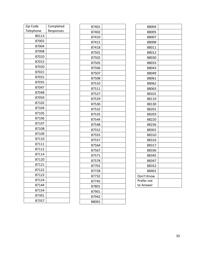| Zip Code  | Completed |
|-----------|-----------|
| Telephone | Responses |
| 80113     |           |
| 87002     |           |
| 87004     |           |
| 87008     |           |
| 87010     |           |
| 87015     |           |
| 87020     |           |
| 87021     |           |
| 87031     |           |
| 87035     |           |
| 87047     |           |
| 87048     |           |
| 87059     |           |
| 87102     |           |
| 87104     |           |
| 87105     |           |
| 87106     |           |
| 87107     |           |
| 87108     |           |
| 87109     |           |
| 87110     |           |
| 87111     |           |
| 87112     |           |
| 87114     |           |
| 87120     |           |
| 87121     |           |
| 87122     |           |
| 87123     |           |
| 87124     |           |
| 87144     |           |
| 87154     |           |
| 87301     |           |
| 87357     |           |

| 87401 |  |
|-------|--|
| 87402 |  |
| 87410 |  |
| 87412 |  |
| 87418 |  |
| 87501 |  |
| 87502 |  |
| 87505 |  |
| 87506 |  |
| 87507 |  |
| 87508 |  |
| 87510 |  |
| 87511 |  |
| 87527 |  |
| 87529 |  |
| 87530 |  |
| 87532 |  |
| 87535 |  |
| 87544 |  |
| 87548 |  |
| 87552 |  |
| 87555 |  |
| 87557 |  |
| 87564 |  |
| 87567 |  |
| 87571 |  |
| 87578 |  |
| 87701 |  |
| 87728 |  |
| 87732 |  |
| 87745 |  |
| 87801 |  |
| 87901 |  |
| 87942 |  |
| 88001 |  |

| 88004      |  |
|------------|--|
| 88005      |  |
| 88007      |  |
| 88008      |  |
| 88011      |  |
| 88012      |  |
| 88030      |  |
| 88033      |  |
| 88043      |  |
| 88049      |  |
| 88061      |  |
| 88062      |  |
| 88063      |  |
| 88101      |  |
| 88119      |  |
| 88130      |  |
| 88201      |  |
| 88203      |  |
| 88220      |  |
| 88236      |  |
| 88301      |  |
| 88310      |  |
| 88316      |  |
| 88317      |  |
| 88336      |  |
| 88345      |  |
| 88347      |  |
| 88352      |  |
| 88401      |  |
| Don't Know |  |
| Prefer not |  |
| to Answer  |  |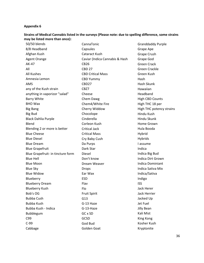#### **Strains of Medical Cannabis listed in the surveys (Please note: due to spelling difference, some strains may be listed more than once):**

50/50 blends 8/8 Headband Afghan Kush Agent Orange AK-47 All All Kushes Amnesia Lemon AMS any of the Kush strain anything in vaporizor "salad" Barry White BHO Wax Big Bang Big Bud Black Dahlia Purple Blend Blending 2 or more is better Blue Cheese Blue Diesel Blue Dream Blue Grapefruit Blue Grapefruit- in tincture form Blue Hell Blue Moon Blue Sky Blue Widow Blueberry Blueberry Dream Blueberry Kush Bob's OG Bubba Cush Bubba Kush Bubba Kush - Indica Bubblegum C99 C-99 Cabbage

CannaTonic Capsules Cataract Kush Caviar (Indica Cannabis & Hash CB26 CBD 27 CBD Critical Mass CBD Yummy CBD27 CBZ7 Cheese Chem Dawg Chem4/White Fire Cherry Widdow Chocolope Cinderella Corleon Kush Critical Jack Critical Mass Cry Baby Cush Da Purps Dark Star Diesel Don't know Dream Weaver Drops Ear Wax ESD Flav Flo Fruit Spirit G13 G-13 Haze G-13-Haze GC x SD GCSD God Bud Golden Goat

Granddaddy Purple Grape Ape Grape Crush Grape God Green Crack Green Crackle Green Kush Hash Hash Skunk Hawaiian Headband High CBD Counts High THC 18 per High THC potency strains Hindu Kush Hindu Skunk Home Grown Hula Booda Hybrid Hybrids I assume Indica Indica Big Bud Indica Dirt Grown Indica Dominiant Indica Sativa Mix Indica/Sativa Indigo ISS Jack Herer Jack Herrier Jacked Up Jet Fuel Jilly Bean Kali Mist King Kong Kosher Kush Kryptonite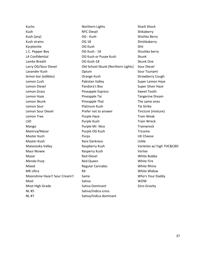Kuchs Kush Kush (any) Kush strains Kyrptonite L.C. Pepper Boy LA Confidential Lambs Breath Larry OG/Sour Diesel Lavander Kush lemon bar (edibles) Lemon Cush Lemon Diesel Lemon Grass Lemon Haze Lemon Skunk Lemon Sour Lemon Sour Diesel Lemon Tree LSD Mango Manirva/Mazar Master Kush Master-Kush Matanoska Valley Maui Wowie Mazar Mendo Purp Mixed MK Ultra Moonshine Haze!! Sour Cream!! Most Most High Grade NL #5 NL #7

Northern Lights NYC Diesel OG - Kush OG 18 OG Kush OG Kush - 18 OG Kush or Purpe Kush OG Kush-18 Old School Skunk (Northern Lights) Opium Orange Kush Pakistan Valley Pandora's Box Pineapple Express Pineapple Tai Pineapple Thai Platinum Kush Prefer not to answer Purple Haze Purple Kush Purple Mr. Nice Purple OG Kush Purps Rare Darkness Raspberry Kush Rasperry Kush Red Diesel Red Queen Regular Cannabis RX Same Sativa Sativa Dominant Sativa/Indica cross Sativa/Indica dominant

Shark Shock Shikaberry Shishka Berry Shishkaberry Shit Shushka berry Skunk Skunk One Sour Diesel Sour Tsunami Strawberry Cough Super Lemon Haze Super Silver Haze Sweet Tooth Tangerine Dream The same ones Tie Strike Tincture (mixture) Train Weak Train Wreck **Trainwreck** Tricome UK Cheese Urkle Varieties w/ high THC&CBD Vortex White Bubba White Fire White Rhino White Widow Who's Your Daddy WOW Zero Gravity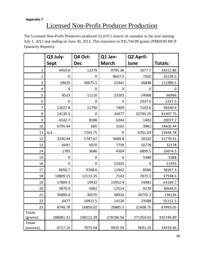# Licensed Non-Profit Producer Production

The Licensed Non-Profit Producers produced 33,419.5 ounces of cannabis in the year starting July 1, 2012 and ending on June 30, 2013. This translates to 935,744.89 grams (NMDOH MCP Quarterly Reports).

|                     | Q3 July-         | Q4 Oct-    | Q1 Jan-      | Q2 April-   |                |
|---------------------|------------------|------------|--------------|-------------|----------------|
|                     | <b>Sept</b>      | <b>Dec</b> | <b>March</b> | June        | <b>Totals:</b> |
| $\mathbf{1}$        | 9459.8           | 12379      | 9795.36      | 1677.7      | 33311.86       |
| $\overline{2}$      | 0                | 0          | 8637.5       | 7502        | 16139.5        |
| 3                   | 29625            | 30075.5    | 25441        | 26848       | 111989.5       |
| 4                   | 0                | 0          | 0            | 0           | 0              |
| 5                   | 8523             | 11110      | 23265        | 24068       | 66966          |
| 6                   | 0                | 0          | 0            | 2337.5      | 2337.5         |
| $\overline{7}$      | 12027.8          | 11790      | 7409         | 7103.6      | 38330.4        |
| 8                   | 14135.5          | 0          | 34477        | 32795.25    | 81407.75       |
| 9                   | 4142.7           | 8188       | 6344         | 1403        | 20077.7        |
| 10                  | 6795.44          | 685        | 3161         | 3961        | 14602.44       |
| 11                  | n/a              | 7243.75    | 0            | 6701.03     | 13944.78       |
| 12                  | 3240.44          | 5747.67    | 4689.8       | 18102       | 31779.91       |
| 13                  | 6691             | 6970       | 7739         | 10778       | 32178          |
| 14                  | 1785             | 3686       | 4304         | 6899.5      | 16674.5        |
| 15                  | 0                | 0          | 0            | 5388        | 5388           |
| 16                  | $\boldsymbol{0}$ | 0          | 21455        | $\mathbf 0$ | 21455          |
| 17                  | 8050.7           | 9768.6     | 11942        | 8506        | 38267.3        |
| 18                  | 10809.15         | 12113.35   | 7143         | 7873.1      | 37938.6        |
| 19                  | 17804.3          | 14932      | 15952.4      | 14481       | 63169.7        |
| 20                  | 3870.9           | 5082       | 12514        | 9178        | 30644.9        |
| 21                  | 35894.8          | 30570      | 38916        | 30755.2     | 136136         |
| 22                  | 6477             | 10921.5    | 14126        | 23588       | 55112.5        |
| 23                  | 8748.78          | 16850.02   | 20885.5      | 21408.75    | 67893.05       |
| Totals<br>(grams):  | 188081.31        | 198112.39  | 278196.56    | 271354.63   | 935744.89      |
| Totals<br>(ounces): | 6717.19          | 7075.44    | 9935.59      | 9691.24     | 33419.46       |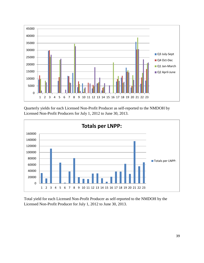

Quarterly yields for each Licensed Non-Profit Producer as self-reported to the NMDOH by Licensed Non-Profit Producers for July 1, 2012 to June 30, 2013.



Total yield for each Licensed Non-Profit Producer as self-reported to the NMDOH by the Licensed Non-Profit Producer for July 1, 2012 to June 30, 2013.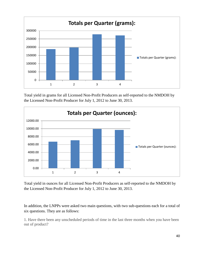

Total yield in grams for all Licensed Non-Profit Producers as self-reported to the NMDOH by the Licensed Non-Profit Producer for July 1, 2012 to June 30, 2013.



Total yield in ounces for all Licensed Non-Profit Producers as self-reported to the NMDOH by the Licensed Non-Profit Producer for July 1, 2012 to June 30, 2013.

In addition, the LNPPs were asked two main questions, with two sub-questions each for a total of six questions. They are as follows:

1. Have there been any unscheduled periods of time in the last three months when you have been out of product?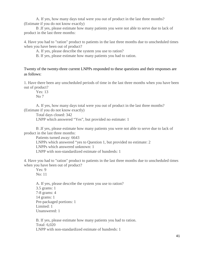A. If yes, how many days total were you out of product in the last three months? (Estimate if you do not know exactly)

 B .If yes, please estimate how many patients you were not able to serve due to lack of product in the last three months:

4. Have you had to "ration" product to patients in the last three months due to unscheduled times when you have been out of product?

A. If yes, please describe the system you use to ration?

B. If yes, please estimate how many patients you had to ration.

Twenty of the twenty-three current LNPPs responded to these questions and their responses are as follows:

1. Have there been any unscheduled periods of time in the last three months when you have been out of product?

Yes: 13  $No<sub>7</sub>$ 

 A. If yes, how many days total were you out of product in the last three months? (Estimate if you do not know exactly)

Total days closed: 342 LNPP which answered "Yes", but provided no estimate: 1

 B .If yes, please estimate how many patients you were not able to serve due to lack of product in the last three months:

Patients turned away: 6643 LNPPs which answered "yes to Question 1, but provided no estimate: 2 LNPPs which answered unknown: 1 LNPP with non-standardized estimate of hundreds: 1

4. Have you had to "ration" product to patients in the last three months due to unscheduled times when you have been out of product?

Yes: 9 No: 11

 A. If yes, please describe the system you use to ration? 3.5 grams: 1 7-8 grams: 4 14 grams: 1 Pre-packaged portions: 1 Limited: 1 Unanswered: 1

 B. If yes, please estimate how many patients you had to ration. Total: 6,020 LNPP with non-standardized estimate of hundreds: 1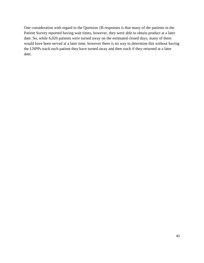One consideration with regard to the Question 1B responses is that many of the patients in the Patient Survey reported having wait times, however, they were able to obtain product at a later date. So, while 6,020 patients were turned away on the estimated closed days, many of them would have been served at a later time, however there is no way to determine this without having the LNPPs track each patient they have turned away and then track if they returned at a later date.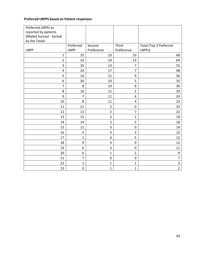# **Preferred LNPPS based on Patient responses:**

| Preferred LNPPs as       |                |                |                  |                        |
|--------------------------|----------------|----------------|------------------|------------------------|
| reported by patients     |                |                |                  |                        |
| (Mailed Survey) - Sorted |                |                |                  |                        |
| by the Totals            |                |                |                  |                        |
|                          | Preferred      | Second         | Third            | Total (Top 3 Preferred |
| <b>LNPP</b>              | <b>LNPP</b>    | Preference     | Preference       | LNPPs)                 |
| $\mathbf 1$              | 35             | 23             | 10               | 68                     |
| $\overline{2}$           | 32             | 19             | 13               | 64                     |
| 3                        | 35             | 13             | $\overline{7}$   | 55                     |
| 4                        | 24             | 17             | $\overline{7}$   | 48                     |
| 5                        | 16             | 11             | $\boldsymbol{9}$ | 36                     |
| 6                        | 20             | 10             | 5                | 35                     |
| 7                        | 8              | 14             | 8                | 30                     |
| 8                        | 16             | 11             | $\overline{2}$   | 29                     |
| 9                        | $\overline{7}$ | 11             | 6                | 24                     |
| 10                       | 8              | 11             | $\overline{4}$   | 23                     |
| 11                       | 21             | $\overline{2}$ | $\pmb{0}$        | 23                     |
| 12                       | 13             | $\overline{2}$ | 7                | 22                     |
| 13                       | 15             | 3              | 1                | 19                     |
| 14                       | 14             | $\overline{2}$ | $\overline{2}$   | 18                     |
| 15                       | 11             | 3              | $\mathbf 0$      | 14                     |
| 16                       | 5              | 5              | 3                | 13                     |
| 17                       | $\mathbf{1}$   | 6              | 5                | 12                     |
| 18                       | 9              | 3              | $\boldsymbol{0}$ | 12                     |
| 19                       | 6              | 5              | $\mathbf 0$      | 11                     |
| 20                       | 6              | $\mathbf{1}$   | $\overline{2}$   | $\boldsymbol{9}$       |
| 21                       | $\overline{7}$ | 0              | $\mathbf 0$      | $\overline{7}$         |
| 22                       | $\mathbf{1}$   | $\mathbf 1$    | 1                | $\overline{3}$         |
| 23                       | $\pmb{0}$      | $\mathbf{1}$   | $\mathbf{1}$     | $\overline{2}$         |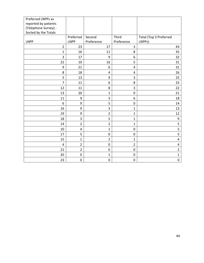| Preferred LNPPs as   |                  |                  |                         |                         |
|----------------------|------------------|------------------|-------------------------|-------------------------|
| reported by patients |                  |                  |                         |                         |
| (Telephone Survey) - |                  |                  |                         |                         |
| Sorted by the Totals |                  |                  |                         |                         |
|                      | Preferred        | Second           | Third                   | Total (Top 3 Preferred  |
| <b>LNPP</b>          | <b>LNPP</b>      | Preference       | Preference              | LNPPs)                  |
| $\overline{2}$       | 23               | 17               | 3                       | 43                      |
| $\mathbf{1}$         | 16               | 11               | 8                       | 35                      |
| 3                    | 17               | 9                | 6                       | 32                      |
| 22                   | 10               | 16               | 5                       | 31                      |
| 9                    | 21               | 6                | $\pmb{4}$               | 31                      |
| 8                    | 18               | 4                | 4                       | 26                      |
| 5                    | 13               | $\boldsymbol{9}$ | $\mathsf 3$             | 25                      |
| $\overline{7}$       | 11               | 6                | 8                       | 25                      |
| 12                   | 11               | 8                | $\overline{\mathbf{3}}$ | 22                      |
| 13                   | 20               | $\mathbf{1}$     | $\mathbf 0$             | 21                      |
| 11                   | 9                | 3                | 6                       | 18                      |
| 6                    | 9                | 5                | $\mathbf 0$             | 14                      |
| 16                   | 9                | 3                | $\mathbf{1}$            | 13                      |
| 19                   | 9                | $\overline{2}$   | $\mathbf{1}$            | 12                      |
| 18                   | 3                | 5                | $\mathbf{1}$            | 9                       |
| 14                   | $\overline{2}$   | $\overline{2}$   | $\mathbf{1}$            | 5                       |
| 10                   | $\pmb{4}$        | $\mathbf 1$      | $\boldsymbol{0}$        | 5                       |
| 17                   | 5                | $\pmb{0}$        | $\boldsymbol{0}$        | 5                       |
| 15                   | $\mathbf{1}$     | $\overline{2}$   | $\mathbf{1}$            | $\overline{\mathbf{4}}$ |
| 4                    | $\overline{2}$   | $\pmb{0}$        | $\overline{2}$          | $\pmb{4}$               |
| 21                   | $\overline{2}$   | $\pmb{0}$        | $\pmb{0}$               | $\overline{2}$          |
| 20                   | $\pmb{0}$        | $\mathbf 1$      | $\boldsymbol{0}$        | $\mathbf{1}$            |
| 23                   | $\boldsymbol{0}$ | $\mathbf 0$      | $\mathbf 0$             | $\boldsymbol{0}$        |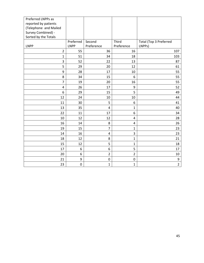| Preferred LNPPs as      |             |                |                  |                        |
|-------------------------|-------------|----------------|------------------|------------------------|
| reported by patients    |             |                |                  |                        |
| (Telephone and Mailed   |             |                |                  |                        |
| Survey Combined) -      |             |                |                  |                        |
| Sorted by the Totals    |             |                |                  |                        |
|                         | Preferred   | Second         | <b>Third</b>     | Total (Top 3 Preferred |
| <b>LNPP</b>             | <b>LNPP</b> | Preference     | Preference       | LNPPs)                 |
| $\overline{2}$          | 55          | 36             | 16               | 107                    |
| $\mathbf{1}$            | 51          | 34             | 18               | 103                    |
| 3                       | 52          | 22             | 13               | 87                     |
| 5                       | 29          | 20             | 12               | 61                     |
| 9                       | 28          | 17             | 10               | 55                     |
| 8                       | 34          | 15             | 6                | 55                     |
| $\overline{7}$          | 19          | 20             | 16               | 55                     |
| $\overline{\mathbf{4}}$ | 26          | 17             | 9                | 52                     |
| 6                       | 29          | 15             | 5                | 49                     |
| 12                      | 24          | 10             | 10               | 44                     |
| 11                      | 30          | 5              | 6                | 41                     |
| 13                      | 35          | 4              | $\mathbf{1}$     | 40                     |
| 22                      | 11          | 17             | 6                | 34                     |
| 10                      | 12          | 12             | $\pmb{4}$        | 28                     |
| 16                      | 14          | 8              | 4                | 26                     |
| 19                      | 15          | $\overline{7}$ | $\mathbf{1}$     | 23                     |
| 14                      | 16          | 4              | 3                | 23                     |
| 18                      | 12          | 8              | $\mathbf{1}$     | 21                     |
| 15                      | 12          | 5              | $\mathbf 1$      | 18                     |
| 17                      | 6           | 6              | 5                | 17                     |
| 20                      | 6           | $\overline{2}$ | $\overline{2}$   | 10                     |
| 21                      | 9           | $\pmb{0}$      | $\boldsymbol{0}$ | 9                      |
| 23                      | $\mathbf 0$ | $\overline{1}$ | $\mathbf{1}$     | $\overline{2}$         |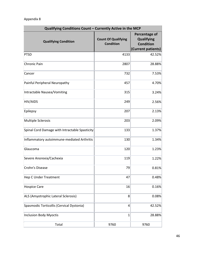| Qualifying Conditions Count - Currently Active in the MCP |                                                |                                                                              |  |  |
|-----------------------------------------------------------|------------------------------------------------|------------------------------------------------------------------------------|--|--|
| <b>Qualifying Condition</b>                               | <b>Count Of Qualifying</b><br><b>Condition</b> | Percentage of<br><b>Qualifying</b><br><b>Condition</b><br>(Current patients) |  |  |
| PTSD                                                      | 4133                                           | 42.52%                                                                       |  |  |
| Chronic Pain                                              | 2807                                           | 28.88%                                                                       |  |  |
| Cancer                                                    | 732                                            | 7.53%                                                                        |  |  |
| Painful Peripheral Neuropathy                             | 457                                            | 4.70%                                                                        |  |  |
| Intractable Nausea/Vomiting                               | 315                                            | 3.24%                                                                        |  |  |
| <b>HIV/AIDS</b>                                           | 249                                            | 2.56%                                                                        |  |  |
| Epilepsy                                                  | 207                                            | 2.13%                                                                        |  |  |
| Multiple Sclerosis                                        | 203                                            | 2.09%                                                                        |  |  |
| Spinal Cord Damage with Intractable Spasticity            | 133                                            | 1.37%                                                                        |  |  |
| Inflammatory autoimmune-mediated Arthritis                | 130                                            | 1.34%                                                                        |  |  |
| Glaucoma                                                  | 120                                            | 1.23%                                                                        |  |  |
| Severe Anorexia/Cachexia                                  | 119                                            | 1.22%                                                                        |  |  |
| Crohn's Disease                                           | 79                                             | 0.81%                                                                        |  |  |
| Hep C Under Treatment                                     | 47                                             | 0.48%                                                                        |  |  |
| <b>Hospice Care</b>                                       | 16                                             | 0.16%                                                                        |  |  |
| ALS (Amyotrophic Lateral Sclerosis)                       | 8                                              | 0.08%                                                                        |  |  |
| Spasmodic Torticollis (Cervical Dystonia)                 | 4                                              | 42.52%                                                                       |  |  |
| Inclusion Body Myoctis                                    | $\mathbf{1}$                                   | 28.88%                                                                       |  |  |
| Total                                                     | 9760                                           | 9760                                                                         |  |  |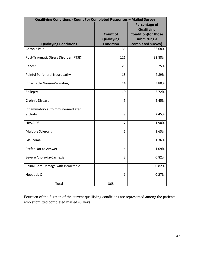| Qualifying Conditions - Count For Completed Responses - Mailed Survey |                                      |                                                                                  |  |
|-----------------------------------------------------------------------|--------------------------------------|----------------------------------------------------------------------------------|--|
|                                                                       | <b>Count of</b><br><b>Qualifying</b> | Percentage of<br><b>Qualifying</b><br><b>Condition(for those</b><br>submitting a |  |
| <b>Qualifying Conditions</b>                                          | <b>Condition</b>                     | completed survey)                                                                |  |
| <b>Chronic Pain</b>                                                   | 135                                  | 36.68%                                                                           |  |
| Post-Traumatic Stress Disorder (PTSD)                                 | 121                                  | 32.88%                                                                           |  |
| Cancer                                                                | 23                                   | 6.25%                                                                            |  |
| Painful Peripheral Neuropathy                                         | 18                                   | 4.89%                                                                            |  |
| Intractable Nausea/Vomiting                                           | 14                                   | 3.80%                                                                            |  |
| Epilepsy                                                              | 10                                   | 2.72%                                                                            |  |
| Crohn's Disease                                                       | 9                                    | 2.45%                                                                            |  |
| Inflammatory autoimmune-mediated                                      |                                      |                                                                                  |  |
| arthritis                                                             | 9                                    | 2.45%                                                                            |  |
| HIV/AIDS                                                              | $\overline{7}$                       | 1.90%                                                                            |  |
| Multiple Sclerosis                                                    | 6                                    | 1.63%                                                                            |  |
| Glaucoma                                                              | 5                                    | 1.36%                                                                            |  |
| Prefer Not to Answer                                                  | 4                                    | 1.09%                                                                            |  |
| Severe Anorexia/Cachexia                                              | 3                                    | 0.82%                                                                            |  |
| Spinal Cord Damage with Intractable                                   | 3                                    | 0.82%                                                                            |  |
| <b>Hepatitis C</b>                                                    | $\mathbf{1}$                         | 0.27%                                                                            |  |
| Total                                                                 | 368                                  |                                                                                  |  |

Fourteen of the Sixteen of the current qualifying conditions are represented among the patients who submitted completed mailed surveys.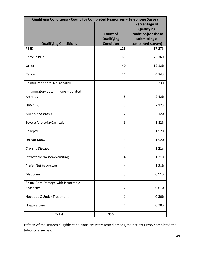| Qualifying Conditions - Count For Completed Responses - Telephone Survey |                   |                            |  |
|--------------------------------------------------------------------------|-------------------|----------------------------|--|
|                                                                          |                   | <b>Percentage of</b>       |  |
|                                                                          |                   | <b>Qualifying</b>          |  |
|                                                                          | <b>Count of</b>   | <b>Condition(for those</b> |  |
|                                                                          | <b>Qualifying</b> | submitting a               |  |
| <b>Qualifying Conditions</b>                                             | <b>Condition</b>  | completed survey)          |  |
| <b>PTSD</b>                                                              | 123               | 37.27%                     |  |
| Chronic Pain                                                             | 85                | 25.76%                     |  |
| Other                                                                    | 40                | 12.12%                     |  |
| Cancer                                                                   | 14                | 4.24%                      |  |
| Painful Peripheral Neuropathy                                            | 11                | 3.33%                      |  |
| Inflammatory autoimmune mediated                                         |                   |                            |  |
| Arthritis                                                                | 8                 | 2.42%                      |  |
| HIV/AIDS                                                                 | $\overline{7}$    | 2.12%                      |  |
| <b>Multiple Sclerosis</b>                                                | $\overline{7}$    | 2.12%                      |  |
| Severe Anorexia/Cachexia                                                 | 6                 | 1.82%                      |  |
| Epilepsy                                                                 | 5                 | 1.52%                      |  |
| Do Not Know                                                              | 5                 | 1.52%                      |  |
| Crohn's Disease                                                          | 4                 | 1.21%                      |  |
| Intractable Nausea/Vomiting                                              | 4                 | 1.21%                      |  |
| Prefer Not to Answer                                                     | 4                 | 1.21%                      |  |
| Glaucoma                                                                 | 3                 | 0.91%                      |  |
| Spinal Cord Damage with Intractable                                      |                   |                            |  |
| Spasticity                                                               | $\overline{2}$    | 0.61%                      |  |
| <b>Hepatitis C Under Treatment</b>                                       | $\mathbf{1}$      | 0.30%                      |  |
| <b>Hospice Care</b>                                                      | $\mathbf{1}$      | 0.30%                      |  |
| Total                                                                    | 330               |                            |  |

Fifteen of the sixteen eligible conditions are represented among the patients who completed the telephone survey.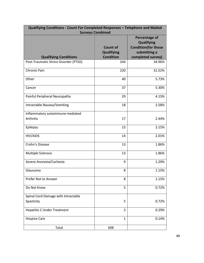| Qualifying Conditions - Count For Completed Responses - Telephone and Mailed<br><b>Surveys Combined</b> |                                      |                                                                                  |  |
|---------------------------------------------------------------------------------------------------------|--------------------------------------|----------------------------------------------------------------------------------|--|
|                                                                                                         | <b>Count of</b><br><b>Qualifying</b> | Percentage of<br><b>Qualifying</b><br><b>Condition(for those</b><br>submitting a |  |
| <b>Qualifying Conditions</b>                                                                            | <b>Condition</b>                     | completed survey)                                                                |  |
| Post-Traumatic Stress Disorder (PTSD)                                                                   | 244                                  | 34.96%                                                                           |  |
| <b>Chronic Pain</b>                                                                                     | 220                                  | 31.52%                                                                           |  |
| Other                                                                                                   | 40                                   | 5.73%                                                                            |  |
| Cancer                                                                                                  | 37                                   | 5.30%                                                                            |  |
| Painful Peripheral Neuropathy                                                                           | 29                                   | 4.15%                                                                            |  |
| Intractable Nausea/Vomiting                                                                             | 18                                   | 2.58%                                                                            |  |
| Inflammatory autoimmune mediated                                                                        |                                      |                                                                                  |  |
| Arthritis                                                                                               | 17                                   | 2.44%                                                                            |  |
| Epilepsy                                                                                                | 15                                   | 2.15%                                                                            |  |
| HIV/AIDS                                                                                                | 14                                   | 2.01%                                                                            |  |
| Crohn's Disease                                                                                         | 13                                   | 1.86%                                                                            |  |
| Multiple Sclerosis                                                                                      | 13                                   | 1.86%                                                                            |  |
| Severe Anorexia/Cachexia                                                                                | 9                                    | 1.29%                                                                            |  |
| Glaucoma                                                                                                | 8                                    | 1.15%                                                                            |  |
| Prefer Not to Answer                                                                                    | 8                                    | 1.15%                                                                            |  |
| Do Not Know                                                                                             | 5                                    | 0.72%                                                                            |  |
| Spinal Cord Damage with Intractable                                                                     |                                      |                                                                                  |  |
| Spasticity                                                                                              | 5                                    | 0.72%                                                                            |  |
| <b>Hepatitis C Under Treatment</b>                                                                      | $\overline{2}$                       | 0.29%                                                                            |  |
| <b>Hospice Care</b>                                                                                     | $\mathbf{1}$                         | 0.14%                                                                            |  |
| Total                                                                                                   | 698                                  |                                                                                  |  |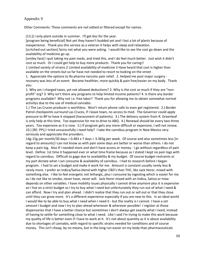Other Comments: These comments are not edited or filtered except for names.

[13.] I only plant outside in summer. I'll get 6oz for the year.

[program being beneficial] Not yet they haven't budded yet and I lost a lot of plants because of inexperience. Thank you this service as a veteran it helps with sleep and relaxation.

[scrtched out section] Sorry not what you were asking. I would like to see the cost go down and the availability of medicine go up.

[smiley face] I quit taking my pain meds, and tried this, and I do feel much better. Just wish it didn't cost so much. Or I could get help to buy more products. Thank you for caring!!

1 Limited variety of strains 2 Limited availability of medicine 3 Have heard that cost is higher than available on the streets but so far have not needed to resort to looking on the street

1. Appreciate the options to Rx pharma narcotic pain relief. 2. Helped me post major surgery recovery was less of an event. Became healthier, more quickly & pain free/easier on my body. Thank you.

1. Why am I charged taxes, yet not allowed deductions? 2. Why is the cost so much if they are "nonprofit" org? 3. Why isn't there any programs to help limited income patients? 4. Is there any barder programs available? Why not i.e. free labor? Thank you for allowing me to obtain somewhat normal activitys due to the use of medical cannabis.

1.) The Las Cruces producer is worthless. Won't return phone calls to even get registered. 2.) Border Patrol checkpoints surround Las Cruces, if I leave town, no access to med. The Governor could apply pressure to BP to have it stopped (harassment of patients). 3.) The delivery system from R. Greenleaf is only help at this time. Too expensive for me to drive to ABQ. 4.) Renewal should be every two-three years. Too expensive as it is now. 5.) If program gets any more difficult or expensive, I will not renew. 10.) [RE: PPL] I tried unsucessfully I need help? I take the cannibus program in New Mexico very seriously and appreciate the providers.

14g-15g per month/30 days = 0.483 x 7 days = 3.383g per week. Of course and also sometimes less [in regard to amounts] I can not know as with pain some days are better or worse than others. I do not keep a pain log. Also if I needed more and don't have access or money - I go without regardless of pain level. Define: 1st time it happened ever or what time frame because as I stated I kept no pain logs with regard to cannibus. Difficult to gage due to availability & my budget. Of course budget restraints or my part dictate what I can consume & availability of cannibus. I had to research before I began program. I had to set a budget and make it work for me. Amount is constant usually rarely less & rarely more. I prefer an Indica/Sativa blend with higher CBD's than THC, like Jack Herer, mixed with something else. I like to feel energetic not lethargic, plus I consume by ingesting which is easier for me as I do not like to smoke, never have, never will. Jack Herer mixed with an Indica, Sativa or mixe depends on other variables. I have mobility issues physically I cannot drive anymore plus it is expensive an I live on a strict budget so I try to buy what I need but unfortunately they run out of what I need & can afford. Now I try and plan ahead. I didn't realize that they run out or sell out or that they close until they can grow more. It's a different experience especially if you are new to this. In an ideal world I would like to be able to buy what I need when I need it - but the reality is I cannot. I have a set amount I budget and now I try to plan ahead whenever & wherever possible! I register at those dispensaries that I have a better chance but sometimes I don't always get exactly what I need, instead of having to settle for something close to what I need. Like I said I'm trying to make this work because my quality of life is better even if I have to work at it. It's not about quantity as it is about availability due to shortages of cannabis, with regard to specific strains needed for conditions and of course money. This isn't cheap, by no means, but in the long run easier on my body than pharmaceuticals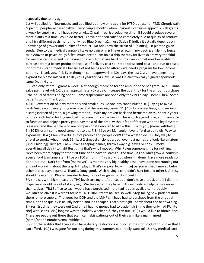especially due to my age.

1st yr I applied for Neuropathy and qualified but now only apply for PTSD but use for PTSD Chronic pain & painful peripheral neuropathy. Every couple months when I harvest I consume approx. 25-28 grams a week by smoking and I have several wks. Of pain free & productive time - if I could produce several more plants at a time I could do better. I have not been satisfied completely due to quality of product and I try different each month - only had Blue Dream x2. I use Sativa & Indica it actually depends on knowledge of grower and quality of product. Do not know the strain of 5 [plants] just planted given seeds. Due to the medical cannabis I take no pain pills & I have screws in my back & ankle - no longer take Adavan or psych drugs & feel much better - am on ala drip therapy for liver so am very thankful for medical cannabis and not having to take pills that are hard on my liver - sometimes being able to purchase from a better producer because of delivery cost so I settle for second best - and due to cost a lot of times I can't medicate because of not being able to afford - we need a program for low-income patients - Thank you. P.S. Even though I sent paperwork in 30+ days the last 2 yrs I have beensitting expired for 5 days last yr & 12 days this year this yrs. excuse was Dr. electronically signed paperwork same Dr. all 4 yrs.

3.) I can only afford 3 grams a week. Not enough medicine for the amount price per gram. 4Eb.) Canna salve pain relief rub 1-2 oz jar approximately 2x a day. Increase the quantity - for the amount purchase - the hours of stores being open? Some dispensaries are open only for 4 hrs a day - some 6 hrs? Some patients work. Thank you.

4.) THC exctraction of leafy materials and small buds. Made into canna butter. 10.) Trying to avoid pests/mildew and everything else is part of the learning curve. 11.) 10 clones/seedlings, 2 flowering on a scrog (screen of green, a growing method). With my broken back and herniated discs I spent 2 years on the couch befor finding medical marijuana through a friend. This is such a good program! I am able to function and enjoy a pretty good day most of the time, without fear of friction with the legal system. Bless you and the people who are compassionate enough to allow this. Thank you, [name withheld] 5.) 10 Different some good some not so dis. 7.B.) I live on SS. I could never afford to go to dis. Way to expensive. 8.A.) I seen few dis. Out of product and people don't know what to do 9.) Only way to afford to smoke what I need. 12.) Last 2 times did [clones u ped] over lost names are look like amateur [undill bidding]. Just got 5 new strains keeping names, throw away big leaves or cook. Smoke everything all day in tonight Best thing that's why I moved. Why Rulen someone's life for nothing. Neve been more happy for the first time don't have to stress all the time. If I couldn't grow & couldn't even afford [camamerstel]. I live on 100 a month. This works out when I'm done I have more ready so I don't run out. Dark Star from [mernever]. 3 months very big healthy best I have done not running out and not worrying about the crap N.H. plays. That's no joke. Now I'm[ce] person wished I moved befor other states played games. Thanks. Doug good. Wish having a card didn't hurt job and other U.A. tesy should be exempt. Please consider letting more of us grow for dis. I could.

5A.) Indicas with high measured THC levels are my preference, but I don't have a top 3, and if I did, the dispensary would be out of it anyway. We take what they have. 6A.) Yes, indicas help nausea more than sativas. 7B.) Suffice to say I would have purchased more had it been available. I probably wouldn't be alive if it weren't for MM. NOTHING treats nausea so well. Stop taking new patients until there is more supply. That goes for DOH and the LNNP's. I have had to purchase from the street at times, and the quality is usually better, and it's cheaper That's not right. Sorry about the handwriting. 8.) Yes, 1st time they were out 2nd time I had no money had to trade fish 3 time they only had [White tire] with seeds. 8B.) longest was the holiday weekend & they ran out. 10.) I would like to obtain one. There are people out there that scam cannabis patients out of their cash like a man named [name/phone number/email withheld]

8B.) for the edibles that I can eat - I have dietary restrictions and sometimes for product to smoke that I can afford. 10.) I was gone for too long during this summer, but I really want to! 15.) My medical card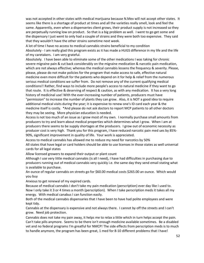was not accepted in other states with medical marijuana because N.Mex will not accept other states. It seems like there is a shortage of product at times and all the varieties really smell, look and feel the same. Apparently, even when a dispenseries client grows, their product supply is not increased so they are perpetually running low on product. So that is a big problem as well. I went to go get some and the dispensary I just went to only had a couple of strains and they were both too expensive. They said that they wouldn't have the other strains sometime next week.

A lot of time I have no access to medical cannabis strains beneficial to my condition Absolutely - I am really glad this program exists as it has made a HUGS difference in my life and the life of my caretakers. I am very grateful.

Absolutely. I have been able to eliminate some of the other medications I was taking for chronic severe migraine pain & cut back considerably on the migraine medication & narcotic pain medication, which are not always effective; whereas the medical cannabis lessens the frequency & severity. Please, please, please do not make policies for the program that make access to safe, effective natural medicine even more difficult for the patients who depend on it for help & relief from the numerous serious medical conditions we suffer from. Do not remove any of the current qualifying medical conditions!! Rather, find ways to include more people's access to natural medicine if they want to go that route. It is effective & deserving of respect & caution, as with any medication. It has a very long history of medicinal use! With the ever-increasing number of patients, producers must have "permission" to increase the number of plants they can grow. Also, it is NOT a good idea to require additional medical visits during the year; it is expensive to renew one's ID card each year & the medicine itself is costly. \*And please do not ask doctors to report MCP patients to all other doctors they may be seeing. More physician education is needed.

Access is not too much of an issue as I grow most of my own. I normally purchase small amounts from producers to try and learn about medical properties which determines what I grow. When I am at producers there seems to be supply shortages at the producers. I grow out of economic necessity as producer cost is very high. Thank you for this program, I have reduced narcotic pain med ues by 85%- 90%, significant improvement in quality of life. Your work is appreciated.

Access to medical cannabis has allowed me to reduce my need for narcotics by 50%

All states that have legal or card holders should be able to use licenses in those states as well universal cards for all legal states

Allow licensed growers to expand their output or plant count

Although I use very little medical cannabis (is all I need), I have had difficulties in purchasing due to producers running out of medical cannabis very quickly i.e. the same day they send email stating what is available to purchase.

An ounce of regular cannabis on streets go for \$60.00 medical costs \$265.00 an ounce. Which would you buy

Anxious to get renewal of my expired cards.

Because of medical cannabis I don't take my pain medication (perscription) ever day like I used to. Now I only take it 3 or 4 times a month (perscription). When I take perscription meds it takes all my energy. With medical canabus I can function easily.

Both of the medical cannabis dispensaries that I have been to have had polite employees and were kept tidy.

Cannabis at the dispensary is expensive and not always there. I cannot by off the streets and I can't grow. Need job protection.

Cannabis does not take my pain away, it helps me to relax a little which in turn helps accept the pain. Can't take pills anymore. Seems to be there isn't enough medicine available sometimes. Be a disabled vet and no federal programs I'm greatful for NMCP! The side effects from perscription meds is to much to handle anymore, the program has been great, 1 med for 8-10 different problems that I have!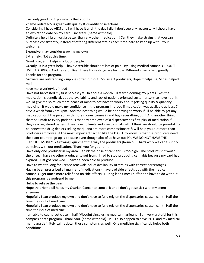card only good for 1 yr - what's that about?

<name redacted> is great with quality & quantity of selections.

Considering I have AIDS and I will have it untill the day I die, I don't see any reason why I should have an expiration date on my card! Sincerely, [name withheld]

Definitely help fibromyalgia better than any other medication!! Can they make strains that you can purchase consistently, instead of offering different strains each time-hard to keep up with. Your welcome.

Expensive, may consider growing my own

Extremely. Not at this time.

Good program. Helping a lot of people.

Greatly. It is a grest help. I have 2 terrible shoulders lots of pain. By using medical cannabis I DON'T USE BAD DRUGS. Codines etc. Been there those drugs are terrible. Different strains help greatly. Thanks for the program.

Growers are outstanding - supplies often run out. So I use 3 producers, Hope it helps! PGM has helped me!

have more verietyies in bud

Have not harvested my first harvest yet. In about a month, I'll start blooming my plants. Yes the medication is beneficial, but the availability and lack of patient-oriented customer service have not. It would give me so much more peace of mind to not have to worry about getting quality & quantity medicine. It would make my confidence in the program improve if medication was available at least 7 days a week from 7am-7pm. And the best thing would be not having to worry if I'll be able to get any medication or if the person with more money comes in and buys everything out! And another thing thats so unfair to every patient, is that any employee of a dispensary has first pick of medication if they're a registered patient, they have no limits and give us whats left. I think we should be priority! To be honest the drug dealers selling marijuana are more compassionate & will help you out more than producers employee's! The most important fact I'd like the D.O.H. to know, is that the producers need the plant count to go up is because even though alot of us have out PPL WE DO NOT HAVE THE SUPPLIES, MONEY & Growing Equipment the way the producers [farmco.] That's whjy we can't supply ourselves with our medication. Thank you for your time!

Have only one producer in my area. I think the prise of cannabis is too high. The product isn't worth the prise. I have no other producer to get from. I had to stop producing cannabis because my card had expired. Just got renewed. I haven't been able to produce.

Have to wait to long for license renewal; lack of availability of strains with correct percentages Having been prescribed all manner of medications-I have bad side effects but with the medical cannabis I get much more relief and no side effects. During lean times I suffer-and have to do withoutthis program is a godsend to me.

Helps to relieve the pain

Hope that Hemp oil helps my Ovarian Cancer to control it and I don't get so sick with my cemo anymore

Hopefully I can produce my own and don't have to fully rely on the dispensaries cause I can't. Half the time their out of medicine.

Hopefully I can produce my own and don't have to fully rely on the dispensaries cause I can't. Half the time their out of medicine.

I am able to cut narcotic use in half (Vicodin) since using medical marijuana. I am very grateful for this compassionate program. Thank you, [name withheld]. P.S. I also happen to have PTSD and my medical marijuana definitely calms down those symptoms as well. One medicine significantly helps both conditions.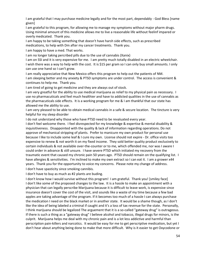I am grateful that I may purchase medicine legally and for the most part, dependably - God Bless [name given]

I am grateful to this program, for allowing me to manage my symptoms without major pharm drugs. Using minimal amount of this medicine allows me to live a reasonable life without feelinf impared or overly medicated. Thank you.

I am happy to be taking something that doesn't have harsh side effects, such as prescribed medications, to help with Dm after my cancer treatments. Thank you.

I am happy to have a med. That works.

I am no longer taking percribed pills due to the use of cannabis (Xanix)

I am on SSI and it is very expensive for me. I am pretty much totally disabled in an electric wheelchair. I wish there was a way to help with the cost. It is \$15 per gram so I can only buy small amounts. I only can use one hand so I can't grow.

I am really appreciative that New Mexico offers this program to help out the patients of NM. I am sleeping better and my anxiety & PTSD symptoms are under control. The access is convenient & continues to help me. Thank you.

I am tired of going to get medicine and they are always out of stock.

I am very greatful for the ability to use medical marijuana as relief to my physical pain as necessary. I use no pharmacuticals and feel much healthier and have to addicted qualities in the use of cannabis as the pharmacuticals side effects. It is a working program for me & I am thankful that our state has allowed me the ability to use.

I am very pleased to be able to obtain medical cannabis in a safe & secure location. The tincture is very helpful for my sleep disorder

I do not understand why those who have PTSD need to be revaluated every year.

I don't feel welcome there. I feel disrespected for my knowledge & expertise & mental disability & inquisitiveness. Disappointed with the quality & lack of information regarding operations. Do not approve of mechanical stripping of plants. Prefer to manicure my own product for personal use because I like to include some leaf & I cure my own. License should not expire - Dr. office visits too expensive to renew & not worth it on my fixed income. They sold better quality product exclusively to certain individuals & not available over-the-counter or to me, which offended me, nor was I aware I could order in advance & still unsure. I have severe PTSD which initiated my recovery from the traumatic event that caused my chronic pain 50 years ago. PTSD should remain on the qualifying list. I have allergies & sensitivities. I'm inclined to make my own extract so I can eat it. I am a grower x44 years. Thank you for the opportunity to voice my concerns. Please note my change of address. I don't have spasticity since smoking cannibis.

I don't have to buy as much as #2 plants are buding.

I don't know how I would survive without this program! I am grateful. Thank you! [smiley face] I don't like some of the proposed changes to the law. It is a hassle to make an appointment with a physician that can legally perscribe Marijuana because it is difficult to leave work, is expensive since insurance doesn't cover the cost of the visit, and sounds like a waste of my time because a few bad apples are taking advantage of the program. If it becomes too much of a hassle I can always purchase the medication I need on the black market or in another state. It would be a shame though, as I don't like the idea of being labeled a criminal if caught and it's a loss of tax revenue for the state. Personally, I think marijuana should be legalized The arguement that it is a so-called "gateway drug" is outrageous. If there is such a thing as a "gateway drug" I believe alcohol and tobacco, illegal drugs for minors, is the culprit. Marijuana helps me deal with my chronic pain and is a lot less addictive and harmful than perscription pain-killers and narcotics. It would be easy for me to get perscriptive medication, but yet I don't hear about anything being done to make that more difficult. Why is it easier to get Oxycodone or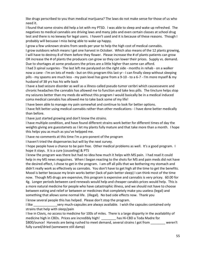like drugs perscribed to you than medical marijuana? The laws do not make sense for those of us who need it.

I found that some strains did help a lot with my PTSD. I was able to sleep and wake up refreshed. The negatives to medical cannabis are driving laws and many jobs and even certain classes at school drug test and there is no leeway for legal users. I haven't used and it is because of these reasons. Though I probably will becuase I miss being able to wake up happy.

I grow a few unknown strains from seeds per year to help the high cost of medical cannabis.

I grow outdoors which means I get one harvest in October. Which also means of the 12 plants growing, I will have to destroy 8 of them before they flower. Please increase the # of plants patients can grow OR increase the # of plants the producers can grow so they can lower their prices. Supply vs. demand. Due to shortages at some producers the prices are a little higher than some can afford.

I had 3 spinal surgeries - The last left me paralyzed on the right side - months in rehab - on a walker now a cane - I'm on lots of meds - but on this program this last yr - I can finally sleep without sleeping pills - my spasms are much less - my pain level has gone from a 9-10 - to a 6-7 - I'm more myself & my husband of 38 yrs has his wife back

I have a bad seizure disorder as well as a illness called pseudo tumor ceribri which causessevere and chronic headaches the cannabis has allowed me to function and take less pills. The tincture helps stop my seizures better than my meds do without this program I would basically be in a medical induced coma medical cannabis has allowed me to take back some of my life!

I have been able to manage my pain somewhat and continue to look for better options.

I have felt better using medical cannabis rather than other medications - I have done better medically than before.

I have just started growing and don't know the strains.

I have multiple condition, and have found different strains work better for different times of day the weights giving are guesstamets as I let my plants fully mature and that take more than a month. I hope this helps you as much as you've helpped me.

I have no comments at this time I'm a pro-ponent of the program

I haven't tried the dispenseries but will by the next survey.

I hope people have a chance to be pain free. Other medical problems as well. It's a good program. I hope it stays. It is a cure [couseling] & PTS

I knew the program was there but had no idea how much it helps with MS pain. I had read it could help in my MS news magazines. When I began reacting to the shots for MS and pain meds did not have the desired effect, I chose to get in the program. I am off all pills that we bothering my stomach and didn't really work as effectively as cannabis. You don't have to get high all the time to get the benefits. Mood is better because my brain works better (lack of pain better sleep) I can think most of the time now. Though MS drugs are expensive, this program is expensive and cannabis is very pricey. 60.00 for 4g. Longer periods between card renewals would help and cheaper canabis prices would help. This is a more natural medicine for people who have catastrophic illness, and we should not have to choose between eating and relief or between or medicines that completely make you useless (legal) and something that allows some normal life. (illegal). No bad side effects now. Thank you

I know several people this has helped. Please don't stop the program.

I like \_\_\_\_\_\_\_\_\_\_\_\_\_very much-capsules are always available. I wish the capsules contained only strains that help with sleep/pain

I live in Clovis, no access to medicine for 100s of miles. There is a large disparity in the availability of medicine high in CBDs. Prices are incredibly high! has Hi-CBD a Toda Madre for \$800/ounce! Harvests are being rushed to meet demand, several strains I got from \_\_\_\_\_\_\_\_ weren't fully cured/dried (somewere still damp)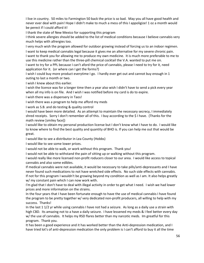I live in country. 50 miles to Farmington 50 back the price is so bad. May you all have good health and never ever deal with pain! Hope I didn't make to much a mess of this I appoligize! 1 oz a month would be perect if I could afford it!

I thank the state of New Mexico for supporting this program

I think severe allergies should be added to the list of medical conditions because I believe cannabis very much helps with allrergies too.

I very much wish the program allowed for outdoor growing instead of forcing us to an indoor regimen.

I want to keep medical cannabis legal because it gives me an alternative for my severe chronic pain. I want to thank you for allowing me to produce my own medicine. It is much more preferable to me to use this medicine rather than the three-pill chemical cocktail the V.A. wanted to put me on.

I want to try for a PPL because I can't aford the price of cannabis, please I need to try for it, need application for it. (or where can I get the forms?)

I wish I could buy more product everytime I go. I hardly ever get out and cannot buy enough in 1 outing to last a month or two.

I wish I knew about this earlier.

I wish the licence was for a longer time then a year also wish I didn't have to send a pick every year when all my info is on file. And I wish I was notified before my card is do to expire.

I wish there was a dispensery in Taos!

I wish there was a program to help me afford my meds

I work as S.B. and do testing & quality control

I would have been more detailed. As an attempt to maintain the necessary secrecy, I immediately shred receipts. Sorry I don't remember all of this. I buy according to the \$ I have. (Thanks for the math review [smiley face])

I would like to obtain my personal production license but I don't know what I have to do. I would like to know where to find the best quality and quantity of BHO is. If you can help me out that would be great.

I would like to see a distributor in Lea County (Hobbs)

I would like to see some lower prices.

I would not be able to walk, or work without this program. Thank you!

I would not be able to withstand the pain of sitting up or walking without this program.

I would really like more licensed non-profit roducers closer to our area. I would like access to topical cannabis and also some edibles.

If medical cannabis were not available, it would be necessary to take pills/anti-depressants and I have never found such medications to not have wretched side effects. No such side effects with cannabis. If not for this program I wouldn't be growing beyond my condition as well as I am. It also helps greatly w/ my constant pain which I can now work with.

I'm glad that I don't have to deal with illegal activity in order to get what I need. I wish we had lower prices and more information on the strains.

In the four years that I have been fortunate enough to have the use of medical cannabis I have found the program to be pretty together w/ very dedicated non-profit producers, all willing to help with my success. Thanks!

In the last 1 1/2 yr while using cannabis I have not had a seizure. As long as a daily use a strain with high CBD. Its amazing not to a have a daily seizure. I have lessened my meds & I feel better every day w/ the use of cannabis. It helps my RSD flares better than my narcotic meds. Im greatful for this program. Thank you.

It has been a good experience and it has worked better than the Anti-depression medication, and I have tried lot's of anti-depression medication the only problem is I can't afford to buy it all the time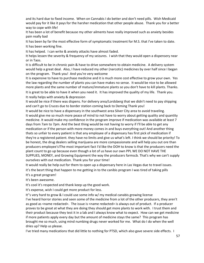and its hard due to fixed income. When on Cannabis I do better and don't need pills. Wish Medicaid would pay for it like it pays for the harsher medication that other people abuse. Thank you for a better way to cope with life!

It has been a lot of benefit because my other ailments have really improved such as anxiety besides pain really bad

It has been by far the most effective form of symptomatic treatment for M.S. that I've taken to date. It has been working fine.

It has helped. I can write & anxiety attacks have almost faded.

It helps lessen the severity & frequency of my seizures. I wish that they would open a dispensery near or in Taos.

It is difficult to be in chronic pain & have to drive somewhere to obtain medicine. A delivery system would help a great deal. Also, I have reduced my other (narcotic) medicines by over half since I began on the program. Thank you! And you're very welcome

It is expensive to have to purchase medicine and it is much more cost effective to grow your own. Yes the law regarding the number of plants you can have makes no sense. It would be nice to be allowed more plants and the same number of mature/immature plants so you don't have to kill plants. Thanks. It is great to be able to have it when you need it. It has improved the quality of my life. Thank you. It really helps with anxiety & depression

It would be nice if there was dispens. For delivery area/Lordsberg that we didn't need to pay shipping and can't go to Cruces due to border station coming back to Deming Thank you!

It would be nice to have a dispensary in the southwest area Silver City area to avoid traveling. It would give me so much more peace of mind to not have to worry about getting quality and quantity medicine. It would make my confidence in the program improve if medication was available at least 7 days from 7am to 7pm. And the best thing would be not having to worry if I'll be able to get any medication or if the person with more money comes in and buys everything out! And another thing thats so unfair to every patient is that any employee of a dispensary has first pick of medication if they're a registered patient. they have no limits and give us what's left. I think we should be priority! To be honest, the drug dealers selling marijuana are more compassionate and will help you out ore than producers employee's!The most important fact I'd like the DOH to know is that the producers need the plant count to go up because even though a lot of us have our own PPL WE DO NOT HAVE THE SUPPLIES, MONEY, and Growing Equipment the way the producers farmscb. That's why we can't supply ourselves with out medication. Thank you for your time!

It would really be help out for them to open up a dispensary here in Las Vegas due to travel issues. it's the besrt thing that happen to me getting in to the canibis program I was tired of taking pills It's a great program!

It's been awesome.

It's cool it's respected and thank keep up the good work.

It's expense, wish I could get more product for less.

It''s very hard to grow & I could use some info w/ my medical canabis growing license

I've heard horror stories and seen some of the medicine from a lot of the other producers, they aren't as good as <name redacted>. The issue is <name redacted> is always out of product. If a producer proves to be great at what they are doing they should get more plants to work with. I trust them and their product because they test it in a lab and I always know what to expect. How can we get medicine if more patients apply every day but the amount of medicine stays the same? This program has brought me so much, using mind numbing drugs never worked for me. What do I do when the well dries up? Help us please.

I've tried many medications that did little to nothing for PTSD, which also gave severe side effects. I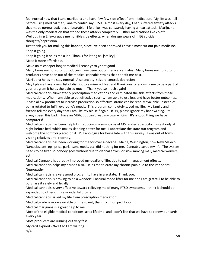feel normal now that I take marijuana and have few few side effect from medication. My life was hell before using medical marijuana to control my PTSD. Almost every day, I had suffered anxiety attacks that made normal activities unbearable. I felt like I was constantly having a heart attack. Marijuana was the only medication that stoped these attacks completely. Other medications like Zoloft, Wellbutrin & Effexor gave me horrible side effects, when dosage wears off! EG suicidal thoughts/depression.

Just thank you for making this happen, since I've been approved I have almost cut out pain medicine. Keep it going

Keep it going it helps me a lot. Thanks for leting as. [smiley]

Make it more affordable.

Make units cheaper longer medical license yr to yr not good

Many times my non-profit producers have been out of medical cannabis. Many times my non-profit producers have been out of the medical cannabis strains that benefit me best.

Marijuana helps me stay normal. Also anxiety, seizure control, depresion.

May I please have a new list of distributors mine got lost and thank you for allowing me to be a part of your program it helps the pain so much! Thank you so much again!

Medical cannabis eliminated 5 prescription medications and eliminated the side effects from those medications. When I am able to get effective strains, I am able to use less and have better outcomes. Please allow producers to increase production so effective strains can be readily available, instead of being rotated to fulfill everyone's needs. This program completely saved my life. My family and friends tell me every day that I am like my old self again. BTW, please ignore my handwriting. Its always been this bad. I have an MBA, but can't read my own writing. It's a good thing we have computers!

Medical cannabis has been helpful in reducing my symptoms of MS related spasticity. I use it only at night before bed, which makes sleeping better for me. I appreciate the state run program and welcome the controls placed on it. PS I apologize for being late with this survey. I was out of town visiting relatives until recently.

Medical cannabis has been working for me for over a decade. Maine, Washington, now New Mexico. Narcotics, anti epiliptics, parkinsons meds, etc. did nothing for me. Cannabis saved my life! The system needs to be fixed so nobody goes without due to clerical errors, or slow moving mail, medical workers, ect.

Medical Cannabis has greatly improved my quality of life, due to pain management effects. Medical cannabis helps my nausea also. Helps me tolerate my chronic pain due to the Peripheral Neuropathy.

Medical cannabis is a very good program to have in are state. Thank you.

Medical cannabis is proving to be a wonderful natural mood lifter for me and I am grateful to be able to purchase it safely and legally.

Medical cannabis is very effective toward relieving me of many PTSD symptoms. I think it should be expanded to others. It's a wonderful program.

Medical cannabis saved my life from prescription medication.

Medical grade is more available on the street, than from non profit org!

Medical marijuana is a great help to me

Most of the eligible medical conditions last a lifetime, and I don't like that we have to renew our cards every year.

Most producers are running out very fast.

My card expired 7/6/13 so I am waiting.

N/A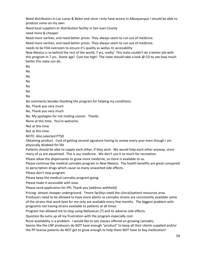Need distributors in Los Lunas & Belen and since I only have access in Albuquerque I should be able to produce some on my own

Need local suppliers or distribution facility in San Juan County

need more & cheaper

Need more varities, and need better prices. They always seem to run out of medicine.

Need more varities, and need better prices. They always seem to run out of medicine.

needs to be FDA overseen to ensure it's quality as wellas its accesability

New Mexico is so behind the rest of the world, 7 yrs, really/ This state couldn't do a better job with this program in 7 yrs. Stone age! Cost too high! The state should take a look @ CO to see how much better this state can do.

No

No

No

No No

No

No

No comments besides thanking the program for helping my conditions.

No, Thank you very much

No, Thank you very much

No. My apologies for not mailing sooner. Thanks

None at this time. You're welcome.

Not at this time

Not at this time

NOTE: Also selected PTSD

Obtaining product. Cost of getting second signature having to renew every year even though I am physically disabled for life

Patients should be able to supply each other, if they wish. We would help each other anyway, since many of us are aquainted. This is our medicine. We don't use it so much for recreation.

Please allow the dispensaries to grow more medicine, so more is available to us.

Please continue the medical cannabis program in New Mexico. The health benefits are great compared to perscription drugs which cause so many unwanted side effects.

Please don't stop program

Please keep the medical cannabis program going.

Please make it accessible with ease

Please send application for PPL Thank you [address withheld]

Pricing- almost cheaper underground. \*more facilitys need the clincal/patient resources area.

Producers need to be allowed to have more plants so cannabis strains are consistantly available some of the strains that work best for me only are available every few months. The biggest problem with programis not having strains available to patients at all times

Program has allowed me to stop using Meloxican [?] and its adverse side effects.

Question 8a sums up all my frustration with the program especially cost.

Rural availability is a problem. I would like to see classes offered on growing cannabis.

Seems like the LNP producers do NOT have enough "product" to keep all their clients supplied and/or the PP license patients do NOT get to grow enough to help them NOT have to buy medication!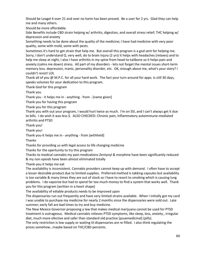Should be Leagel 4 over 21 and over no harm has been proved. Be a user for 2 yrs. Glad they can help me and many others.

Should be more affordable.

Side Benefits include CBD strain helping w/ arthritis, digestion, and overall stress relief; THC helping w/ depression and anxiety

Something needs to be done about the quality of the medicine; I have had medicine with very poor quality, some with mold, some with pests.

Sometimes it's hard to get strain that help me. But overall this program is a god sent for helping me. Sorry, I don't understand Q. very well, do to brain injury (2 yrs) it helps with headaches (relaxes) and to help me sleep at night, I also I have arthritis in my spine from head-to-tailbone so it helps pain and anxiety (calms me down) stress. All part of my disorders - lets not forget the mental issues short-term memory loss. depression, manic, personality disorder, etc. OK, enough about me, what's your story? I couldn't resist! LOL

Thank all of you @ M.P.C. for all your hard work. The fact your turn-around for apps. Is still 30 days, speaks volumes for your dedication to this program.

Thank God for this program

Thank you

Thank you - it helps me in - anything - from - [name given]

Thank you for having this program

Thank you for this program

Thank you with out your program, I would hurt twice as much. I'm on SSI, and I can't always get it due to bills. I do wish it was less \$. ALSO CHECKED: Chronic pain, Inflammatory autoimmune-mediated arthritis and PTSD

Thank you!

Thank you!

Thank you-it helps me in - anything - from [withheld]

Thanks

Thanks for providing us with legal access to life changing medicine

Thanks for the opertunity to try this program

Thanks to medical cannabis my pain medications Zentynyl & morphine have been significantly reduced & my non opiods have been almost eliminated totally

Thank-you it helps me eat

The availability is inconsistent. Cannabis providers cannot keep up with demand. I often have to accept a lesser desirable product due to limited supplies. Preferred method is takking capsules but availability is too variable & many times they are out of stock so I have to resort to smoking which is causing lung problems. I do vaporize but had to spend far too much money to find a system that works well. Thank you for this program [written in a heart shape]

The availability of ediable products needs to be improved upon

The dispensaries run out frequently and have very limited strains available. When I initially got my card I was unable to purchase my medicine for nearly 2 months since the dispensaries were sold out. Late summer; early fall are bad times to try and buy medicine.

The New Mexico Governor proposing a law that makes medical marijuana cannot be used for PTSD treatment is outrageous. Medical cannabis relieves PTSD symptoms, like sleep, loss, anxiety., irregular diet, much more efective and safer than standard old practice [psuemedicinal] (pills).

The only restriction is low supply or waiting til dispensaries are re-filled. I also think regulating the prices somehow…maybe based on THC/CBD percents.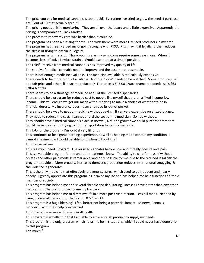The price you pay for medical cannabis is too much!! Everytime I've tried to grow the seeds I purchase are 9 out of 10 that actually sprout!

The pricing needs a little monitoring. They are all over the board and a little expensive. Apparently the pricing is comparable to Black Market.

The process to renew my card was harder than it could be.

The program has been a blessing for me. I do wish there were more Licensed producers in my area. The program has greatly aided my ongoing struggle with PTSD. Plus, having it legally further reduces the stress of trying to obtain it illegally.

The program helps me a lot. Thank you I use as my symptoms require some days more. When it becomes less effective I switch strains. Would use more at a time if possible.

The releif I receive from medical cannabus has improved my quality of life

The supply of medical cannabis need to improve and the cost more reasonable.

There is not enough medicine available. The medicine available is rediculously expensive.

There needs to be more product available. And the "price" needs to be watched. Some producers sell at a fair price and others like <name redacted> Fair price is \$45.00 1/8oz-<name redacted> sells \$63 1/8oz Not fair

There seems to be a shortage of medicine at all of the licensed dispensaries.

There should be a program for reduced cost to people like myself that are on a fixed income-low income. This will ensure we get our meds without having to make a choice of whether to be in financial duress. My insurance doesn't cover this so its out of pocket.

There should be a way to get our medicine without paying. It can very expensive on a fixed budget. They need to reduce the cost. I cannot afford the cost of the medician. So I do without.

They should have a medical cannabis place in Roswell, NM or a grower we could purchase from that would make it easier on trying to find transportation to get my medicine.

Think-U-for the program- I'm -on-SSI very lil funds

This continues to be a great learning experience, as well as helping me to contain my condition. I cannot imagine how I would be able to function without this!

This has saved me.

This is a much need. Program. I never used cannabis before now and it really does relieve pain. This is a valuable program for me and other patients I know. The ability to care for myself without opiates and other pain meds. Is remarkable, and only possible for me due to the reduced legal risk the program provides. More broadly, increased domestic production reduces international smuggling & the violence it generates.

This is the only medicine that effectively prevents seizures, which used to be frequent and nearly deadly. I greatly appreciate this program, as it saved my life and has helped me be a functions citizen & member of society.

This program has helped me and several chronic and debilitating illnesses I have better than any other medication. Thank you for giving me my life back.

This program has helped me to direct my life in a more positive direction. Less pill meds. Needed by using midisenal medication, Thank you. 07-23-2013

This program is a huge blessing! I feel better not being a potential inmate. Minerva Canna is wonderful with their help & expertise!

This program is essential to my overall health.

This program is excellent in that I am able to grow enough product to supply my needs

This program is the only program which helps me be in situations, which I could never have done prior to this program

Too much \$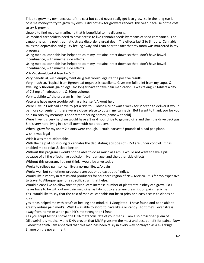Tried to grow my own because of the cost but could never really get it to grow, so in the long run it cost me money to try to grow my own. I did not ask for growers renewal this year, because of the cost to try & grow it.

Unable to find medical marijuana that is beneficial to my diagnosis.

Us medical cardholders need to have access to live cannabis seeds by means of seed companies. The canabis helps my post traumatic stress dissorder a great deal. The effects last 2 to 3 hours. Cannabis takes the depression and guilty feeling away and I can bear the fact that my mom was murdered in my presence.

Using medical cannabis has helped to calm my intestinal tract down so that I don't have bowel incontinance, with minimal side effects.

Using medical cannabis has helped to calm my intestinal tract down so that I don't have bowel incontinance, with minimal side effects.

V.A Vet should get it free for S.C

Very beneficial, wish employment drug test would legalize the positive results.

Very much so. Topical from Rgreenleaf organics is excellent. Gives me full relief from my Lupus & swelling & fibromialgia of legs. No longer have to take pain medication. I was taking 23 tablets a day of 7.5 mg of hydrocodone & 30mg volume.

Very satisfide w/ the program [smiley face]

Veterans have more trouble getting a license, VA wont help

Were I live in Carlsbad I have to get a ride to Ruidoso NM or wait a week for Medzen to deliver it would be more convenient if there were a closer place to obtain my cannabis. But I want to thank you for you help im sory my memory is poor remembering names [name withheld]

Were I live it is very hard we would have a 3 or 4 hour drive to getmedicine and then the drive back gas \$ it is very hard living in a small town with no producers.

When I grow for my use  $\sim$  2 plants were enough. I could harvest 2 pounds of a bad pea plant. wish it was legal

Wish it was more affordable.

With the help of counsoling & cannabis the debilitating episodes of PTSD are under control. It has enabled me to relax & sleep better.

Without this program I would not be able to do as much as I am. I would not want to take a pill because of all the effects like addiction, liver damage, and the other side effects.

Without this program, I do not think I would be alive today

Works to relieve pain so I can live a normal life, w/o pain

Works well but sometimes producers are out or at least out of Indica.

Would like a variety in strains and producers for southern region of New Mexico. It is far too expensive to travel to Albuquerque for a specific strain that helps.

Would please like an allowance to producers increase number of plants strainsthey can grow. So I never have to be without my pain medicine, as I do not tolerate any prescription pain medicine.

Yes I would like to say that the cost of medical cannabis not be so pricy and easy access to clones be great.

yes It has helped me with area's of healing and mind, till I Googleted. I have found and been able to greatly reduse pain med's. Wish I was able to aford to have like a oil candy. For time's I over stress away from home or when pain hit's me strong then I freak.

Yes you script testing shows the DNA metabolic rate of your meds. I am also proscribed [Cem of Dilloweln] It is medically and DNA proven that MMP gives me the most and best benefit for pains. Now I know the truth I am appahled that this med has been falsly in every way portrayed as a evil drug! Shame on the government!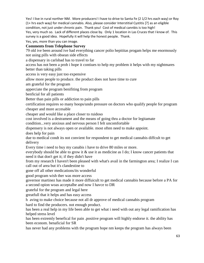Yes! I live in rural norther NM. More producers! I have to drive to Santa Fe (2 1/2 hrs each way) or Roy (1+ hrs each way) for medical cannabis. Also, please consider Interstitial Cystitis [?] as an eligible condition, not just under chronic pain. Thank you! Cost of medical cannbis is too high! Yes, very much so. Lack of different places close by. Only 1 location in Las Cruces that I know of. This survey is a good idea. Hopefully it will help the honest people. Thank.

Yes, yes, more than you can image.

# **Comments from Telephone Survey**

79 old ive been around ive had everything cancer polio hepititas progam helps me enormously not using pills with obsean side effects

a dispensary in carlsbad has to travel to far

access has not been a prob i hope it contiues to help my problem it helps with my nightmares better than taking pills

access is very easy just too expensive

allow more people to produce. the product does not have time to cure

am grateful for the program

apperciate the program benifiting from program

benficial for all patients

Better than pain pills or addiction to pain pills

certification requires so many hoops/undo pressure on doctors who qualify people for program cheaper and more accesable

cheaper and would like a place closer to ruidoso

cost involved is a destrament and the means of going thru a doctor for legitamate

condition...very anxious and nervous person I felt uncomfortable

dispensery is not always open or available. most often need to make appoint.

does help for pain

due to medical condt its not convient for respondent to get medical cannabis diffcult to get delivery

Every time i need to buy my canabis i have to drive 80 miles or more.

everybody should be able to grow it & use it as medicine as I do; I know cancer patients that need it that don't get it; if they didn't have

from my research I haven't been pleased with what's avail in the farmington area; I realize I can call out of area but it's clandestine to

gone off all other medications/its wonderful

good program wish ther was more access

governor martinez has made it more diffuicult to get medical cannabis because before a PA for a second opion woas acceptalbe and now I havce to DR

grateful for the program and legal here

greatfull that it helps and has easy access

h aving to make choice because not all dr approve of medical cannabis program

hard to find the producers. not enough product.

has been a real help in my life been able to get what i need with out any legal ramification has helped stress level

has been extremly benefical for pain .positive program will highly endorse it. the ability has been econom. benaficial for SR

has never had any problems with the program hope nm keeps the program has always been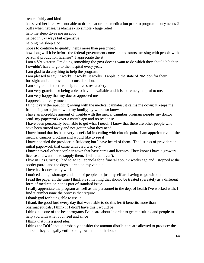treated fairly and kind has saved her life - was not able to drink; eat or take medication prior to program - only needs 2 puffs when nausea/headaches - so simple - huge relief help me sleep gives me an appt helped in 3-4 ways but expensive helping me sleep alot hopes to continue to qualify; helps more than prescribed how long will it be before the federal government comes in and starts messing with people with personal production licenses? I appreciate the st I am a VA veteran. I'm doing something the govt doesn't want to do which they should b/c then I owuldn't have to go to the hospital every year. I am glad to do anything to help the program. I am pleased to say; it works; it works; it works. I applaud the state of NM doh for their foresight and compassionate consideration. I am so glad it is there to help relieve stres anxiety I am very grateful for being able to have it available and it is extremely helpful to me. I am very happy that my doctor approved me I appreciate it very much I find it very therapeutic; growing with the medical cannabis; it calms me down; it keeps me from being so agitated with my family;my wife also knows i have an incredible amount of trouble with the meical cannibus program people my doctor send my paperwork over a month ago and no response I have been personally been able to get what I need. I know that there are other people who have been turned away and not gotten what they need I have found that its been very beneficial in dealing with chronic pain. I am appreicateive of the medical canabis program and would like to see it I have not tried the provider in Ruidoso; but I have heard of them. The listings of providers in initial paperwork that came with card was very I know several other people in town that have cards and licenses. They know I have a growers license and want me to supply them. I tell them I can't. I live in Las Cruces; I had to go to Espanola for a funeral about 2 weeks ago and I stopped at the border patrol and the dogs alerted on my vehicle i love it . it does really work I noticed a huge shortage and a lot of people not just myself are having to go without. I read the paper all the time I think its something that should be treated spereately as a different form of medication not as part of standard issue I really appreciate the program as well as the personnel in the dept of health I've worked with. I find it cumbersome the process that require I thank god for being able to use it. I thank the good lord every day that we're able to do this b/c it benefits more than pharmaceuticals; I think if I didn't have this I would be I think it is one of the best programs I've heard about in order to get consulting and people to help you with what you need and since I think that it is a good idea I think the DOH should probably consider the amount distributors are allowed to produce; the amount they're legally entitled to grow in a month should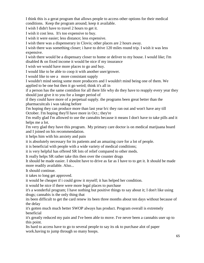I think this is a gerat program that allows people to access other options for their medical conditions. Keep the program around; keep it available.

I wish I didn't have to travel 2 hours to get it.

I wish it cost less. It's too expensive to buy.

I wish it were easier; less distance; less expensive.

I wish there was a dispenserary in Clovis; other places are 2 hours away.

I wish there was something closer; i have to drive 120 miles round trip. I wish it was less expensive.

I wish there would be a dispensary closer to home or deliver to my house. I would like; I'm disabled & on fixed income it would be nice if my insurance

I wish we would have more places to go and buy.

I would like to be able to coop it with another user/grower.

I would like to see a more consistant supply

I wouldn't mind seeing some more producers and I wouldn't mind being one of them. We applied to be one but then it go weird; think it's all in

if a person has the same contidion for all there life why do they have to reapply every year they should just give it to you for a longer period of

if they could have more of a perpetual supply. the programs been great better than the pharmacuitcals i was taking before

I'm hoping they can produce more than last year b/c they ran out and won't have any till October. I'm hoping they'll have more in Oct.; they're

I'm really glad I'm allowed to use the cannabis because it means I don't have to take pills and it helps me a lot.

I'm very glad they have this program. My primary care doctor is on medical marijuana board and I joined on his recommendation.

it helps him with his anxiety and pain

it is absolutely necessary for its patients and an amazing cure for a lot of people.

it is beneficial with people with a wide variety of medical conditions;

it is very helpful has offered SR lots of relief compared to other meds.

It really helps SR rather take this then over the counter drugs

It should be made easier. I shoulnt have to drive as far as I have to to get it. It should be made more readily available. Also...

It should continue.

it takes to long get approved.

it would be cheaper if i could grow it myself; it has helped her condition.

it would be nice if there were more legal places to purchase

it's a wonderful program; I have nothing but positive things to say about it; I don't like using drugs; cannabis is the only thing that

its been difficult to get the card renew its been three months about ten days without because of the delay

it's gotten much much better SWOP always has product. Program overall is extremely beneficial

it's greatly reduced my pain and I've been able to move. I've never been a cannabis user up to this point.

Its hard to access have to go to several people to say its ok to purchase alot of paper work.having to jump through so many hoops.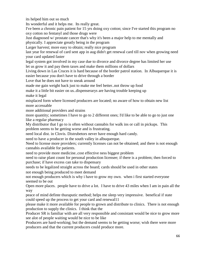its helped him out so much

Its wonderful and it helps me. Its really great.

I've been a chronic pain patient for 15 yrs doing oxy cotton; since I've started this program no oxy cotton no fentanyl and those drugs were

Just diagnosed w/ prostate cancer that's why it's been a major help to me mentally and physically. I appreciate greatly being in the program

Larger harvest; more easy to obtain; really nice program

last year for renewal of card sent app in aug didn't get renewal card till nov when growing need your card updated faster

legal system got involved in my case due to divorce and divorce degree has limited her use

let us grow it and pay them taxes and make them millions of dollars

Living down in Las Cruces it is hard because of the border patrol station. In Albuquerque it is easier because you don't have to drive through a border

Love that he does not have to sneak around

made me gain weight back just to make me feel better..not throw up food

make it a little bit easier on us..dispenserarys are having trouble keeping up

make it legal

misplaced form where licensed producers are located; no aware of how to obtain new list more accessable

more additional providers and strains

more quantity; sometimes I have to go to 2 different ones; I'd like to be able to go to just one like a regular pharmacy

My distributor that I go to is often without cannabis for walk ins or call in pickups. This problem seems to be getting worse and is frustrating.

need local dist. in Clovis. Distrubetors never have enough hard candy.

need to have a producer in the south valley in albuquerque.

Need to license more providers; currently licenses can not be obtained; and there is not enough cannabis available for patients.

need to provide more medicine..cost effective ness biggest problem

need to raise plant count for personal production licensee; if there is a problem; then forced to purchase; if have excess can take to dispensary

needs to be legalized straight across the board; cards should be used in other states not enough being produced to meet demand

not enough producers which is why i have to grow my own. when i first started everyone seemed to be out

Open more places. people have to drive a lot. I have to drive 43 miles when I am in pain all the way

peace of mind definte thuraputic method; helps me sleep very impressive. benefical if state could speed up the process to get your card and renewal11

please make it more available for people to grown and distribute to clinics. There is not enough production to supply the clinics. I think that the

Producer SR is familiar with are all very responsible and consistant would be nice to grow more see alot of people waiting would be nice to be like

Producers are hard-working; but the demand seems to be getting worse; wish there were more producers and that the current producers could produce more.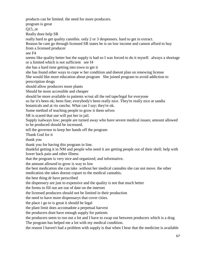products can be limited. the need for more producers.

program is great

Q15\_ot

Really does help SR

really hard to get quality cannibis. only 2 or 3 despensers. hard to get in extract.

Reason he cant go through licensed SR states he is on low income and cannot afford to buy from a licensed producer

see F4

seems like quality better but the supply is bad so I was forced to do it myself. always a shortage or a limited which is not sufficient see f4

she has a hard time getting into town to get it

she has found other ways to cope w her condition and doesnt plan on renewing license She would like more education about program She joined program to avoid addiction to prescription drugs

should allow producers more plants

Should be more accessible and cheaper

should be more available to patients w/out all the red tape/legal for everyone

so far it's been ok; been fine; everybody's been really nice. They're really nice at sandia botanicals and at rio rancho. What can I say; they're ok.

Some method of teaching people to grow it them selves

SR is scared that use will put her in jail.

Supply isalways low; people are turned away who have severe medical issues; amount allowed to be produced should be increased.

tell the governor to keep her hands off the program

Thank God for it

thank you

thank you for having this program in line.

thankful getting it in NM and people who need it are getting people out of their shell; help with lower back pain and other illness

that the program is very nice and organized; and informative.

the amount allowed to grow is way to low

the best medication she can take .without her medical cannabis she can not move. the other

medication she takes doesnt copare to the medical cannabis.

the best thing dr have perscribed

the dispensery are just to expensive and the quality is not that much better

the forms to fill out are out of date on the internet

the licensed producers should not be limited in their production

the need to have more dispensarys that cover cities.

the place i go to is great it should be legal

the plant limit does accomadote a perpetual harvest

the producers dont have enough supply for patients

the producers seem to run out a lot and I have to swap out between producers which is a drag The program has helped me a lot with my medical condition.

the reason I haven't had a problem with supply is that when I hear that the medicine is available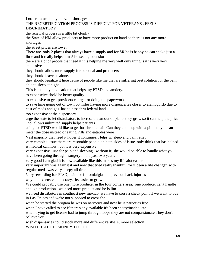I order immediately to avoid shortages

# THE RECERTIFICATION PROCESS IS DIFFICLT FOR VETERANS . FEELS DISCRIMATORY

the renewal process is a little bit clunky

the State of NM allow producers to have more product on hand so there is not any more shortages

the street prices are lower

There are only 2 places that always have a supply and for SR he is happy he can spoke just a little and it really helps him Also seeing counslor

there are alot of people that need it it is helping me very well only thing is it is very very expensive

they should allow more supply for personal and producers

they should leave us alone.

they should legalize it here cause of people like me that are suffering best solution for the pain. able to sleep at night

This is the only medication that helps my PTSD and anxiety.

to expenseive shold be better quality

to expensive to get. providers charge for doing the paperwork.

to save time going out of town 60 miles having more dispenceries closer to alamogordo due to cost of meds and gas..has to pass thru federal land

too expensive at the dispensory

urge the state to let distrubators to increse the amout of plants they grow so it can help the price . col allows unlimited supply helps patients

using for PTSD would like to get for chronic pain Can they come up with a pill that you can meter the dose instead of eating Pills and eatables were

Vast majority that need it hopes it continues. Helps w/ sleep and pain relief

very complex issue there are resonable people on both sides of issue..only think that has helped is medical cannibis...but it is very expensive

very expensive. use for pain and sleeping. without it; she would be able to handle what you have been going through. surgery in the past two years.

very good i am glad it is now available like this makes my life alot easier

very important was against it and now that tried really thankful for it been a life changer. with regular meds was very sleepy all time

Very rewarding for PTSD; pain for fibromialgia and previous back injuries

way too expensive. its crazy. its easier to grow

We could probably use one more producer in the four corners area. one producer can't handle enough production. we need more product and he is lim

we need distributors in southeast new mexico; we have to cross a check point if we want to buy in Las Cruces and we're not supposed to cross the

when he started the progam he was on narcotics and now he is narcotics free

when I have called to see if there's any available it's been spotty/inadequate.

when trying to get license had to jump through loops they are not compassionate They don't believe you

wish dispensaries could stock more and different varitie s; more selection

WISH I HAD THE MONEY TO GET IT